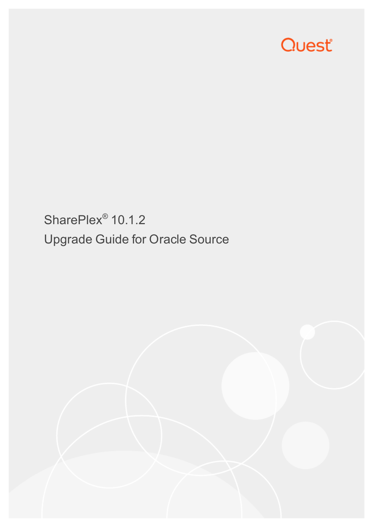# Quest®

SharePlex<sup>®</sup> 10.1.2 Upgrade Guide for Oracle Source

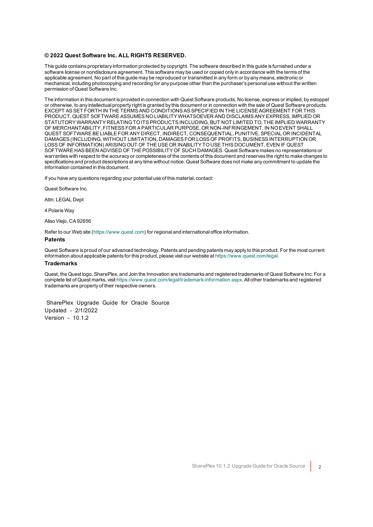#### **© 2022 Quest Software Inc. ALL RIGHTS RESERVED.**

This guide contains proprietary information protected by copyright. The software described in this guide is furnished under a software license or nondisclosure agreement. This software may be used or copied only in accordance with the terms of the applicable agreement. No part of this guide may be reproduced or transmitted in any form or by any means, electronic or mechanical, including photocopying and recording for any purpose other than the purchaser's personal use without the written permission of Quest Software Inc.

The information in this document is provided in connection with Quest Software products. No license, express or implied, by estoppel or otherwise, to any intellectual property right is granted by this document or in connection with the sale of Quest Software products. EXCEPT AS SET FORTH IN THE TERMS AND CONDITIONS AS SPECIFIED IN THE LICENSE AGREEMENT FOR THIS PRODUCT, QUEST SOFTWARE ASSUMES NO LIABILITY WHATSOEVER AND DISCLAIMS ANY EXPRESS, IMPLIED OR STATUTORY WARRANTY RELATING TO ITS PRODUCTS INCLUDING, BUT NOT LIMITED TO, THE IMPLIED WARRANTY OF MERCHANTABILITY, FITNESS FOR A PARTICULAR PURPOSE, OR NON-INFRINGEMENT. IN NO EVENT SHALL QUEST SOFTWARE BE LIABLE FOR ANY DIRECT, INDIRECT, CONSEQUENTIAL, PUNITIVE, SPECIAL OR INCIDENTAL DAMAGES (INCLUDING, WITHOUT LIMITATION, DAMAGES FOR LOSS OF PROFITS, BUSINESS INTERRUPTION OR LOSS OF INFORMATION) ARISING OUT OF THE USE OR INABILITY TO USE THIS DOCUMENT, EVEN IF QUEST SOFTWARE HAS BEEN ADVISED OF THE POSSIBILITY OF SUCH DAMAGES. Quest Software makes no representations or warranties with respect to the accuracy or completeness of the contents of this document and reserves the right to make changes to specifications and product descriptions at any time without notice. Quest Software does not make any commitment to update the information contained in this document.

If you have any questions regarding your potential use of this material, contact:

Quest Software Inc.

Attn: LEGAL Dept

4 PolarisWay

Aliso Viejo, CA 92656

Refer to our Web site ([https://www.quest.com](https://www.quest.com/)) for regional and international office information.

#### **Patents**

Quest Software is proud of our advanced technology. Patents and pending patents may apply to this product. For the most current information about applicable patents for this product, please visit our website at <https://www.quest.com/legal>.

#### **Trademarks**

Quest, the Quest logo, SharePlex, and Join the Innovation are trademarks and registered trademarks of Quest Software Inc. For a complete list of Quest marks, visit <https://www.quest.com/legal/trademark-information.aspx>. All other trademarks and registered trademarks are property of their respective owners.

SharePlex Upgrade Guide for Oracle Source Updated - 2/1/2022 Version - 10.1.2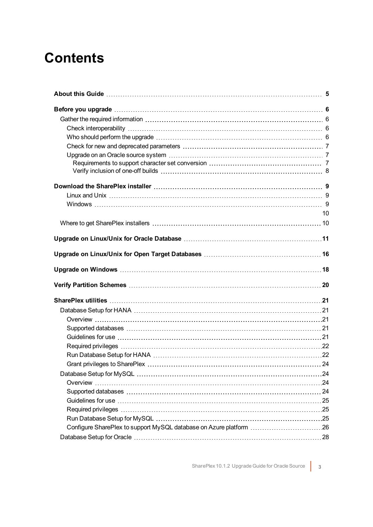## **Contents**

| 10 |
|----|
|    |
|    |
|    |
|    |
|    |
|    |
|    |
|    |
|    |
|    |
|    |
|    |
|    |
|    |
|    |
|    |
|    |
|    |
|    |
|    |
|    |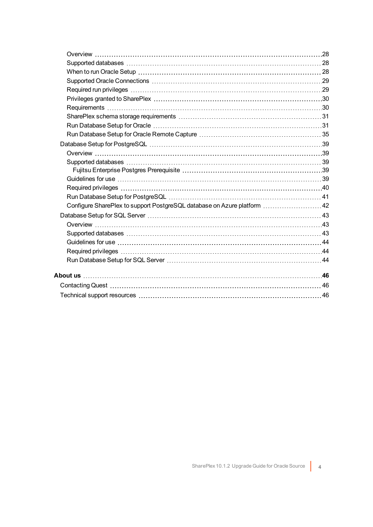| Configure SharePlex to support PostgreSQL database on Azure platform 42 |  |
|-------------------------------------------------------------------------|--|
|                                                                         |  |
|                                                                         |  |
|                                                                         |  |
|                                                                         |  |
|                                                                         |  |
|                                                                         |  |
|                                                                         |  |
|                                                                         |  |
|                                                                         |  |
|                                                                         |  |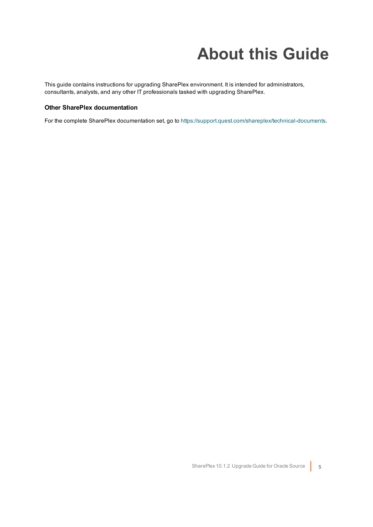# **About this Guide**

<span id="page-4-0"></span>This guide contains instructions for upgrading SharePlex environment. It is intended for administrators, consultants, analysts, and any other IT professionals tasked with upgrading SharePlex.

### **Other SharePlex documentation**

For the complete SharePlex documentation set, go to [https://support.quest.com/shareplex/technical-documents.](https://support.quest.com/shareplex/technical-documents)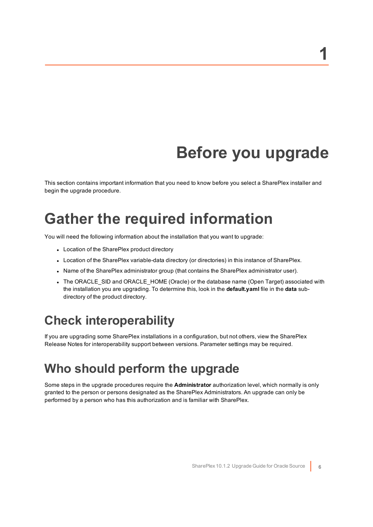# **Before you upgrade**

<span id="page-5-1"></span><span id="page-5-0"></span>This section contains important information that you need to know before you select a SharePlex installer and begin the upgrade procedure.

## **Gather the required information**

You will need the following information about the installation that you want to upgrade:

- Location of the SharePlex product directory
- Location of the SharePlex variable-data directory (or directories) in this instance of SharePlex.
- Name of the SharePlex administrator group (that contains the SharePlex administrator user).
- The ORACLE\_SID and ORACLE\_HOME (Oracle) or the database name (Open Target) associated with the installation you are upgrading. To determine this, look in the **default.yaml** file in the **data** subdirectory of the product directory.

### <span id="page-5-2"></span>**Check interoperability**

<span id="page-5-3"></span>If you are upgrading some SharePlex installations in a configuration, but not others, view the SharePlex Release Notes for interoperability support between versions. Parameter settings may be required.

### **Who should perform the upgrade**

Some steps in the upgrade procedures require the **Administrator** authorization level, which normally is only granted to the person or persons designated as the SharePlex Administrators. An upgrade can only be performed by a person who has this authorization and is familiar with SharePlex.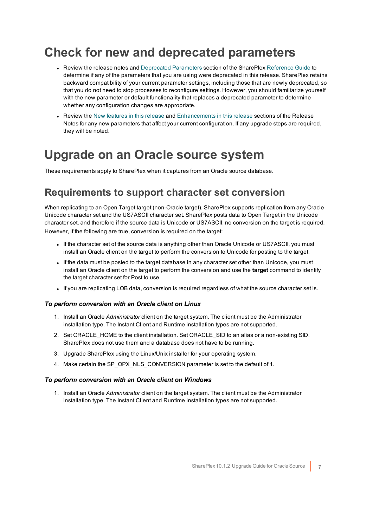## <span id="page-6-0"></span>**Check for new and deprecated parameters**

- Review the release notes and Deprecated Parameters section of the SharePlex [Reference](https://support.quest.com/shareplex) Guide to determine if any of the parameters that you are using were deprecated in this release. SharePlex retains backward compatibility of your current parameter settings, including those that are newly deprecated, so that you do not need to stop processes to reconfigure settings. However, you should familiarize yourself with the new parameter or default functionality that replaces a deprecated parameter to determine whether any configuration changes are appropriate.
- Review the New features in this release and Enhancements in this release sections of the Release Notes for any new parameters that affect your current configuration. If any upgrade steps are required, they will be noted.

## <span id="page-6-1"></span>**Upgrade on an Oracle source system**

<span id="page-6-2"></span>These requirements apply to SharePlex when it captures from an Oracle source database.

### **Requirements to support character set conversion**

When replicating to an Open Target target (non-Oracle target), SharePlex supports replication from any Oracle Unicode character set and the US7ASCII character set. SharePlex posts data to Open Target in the Unicode character set, and therefore if the source data is Unicode or US7ASCII, no conversion on the target is required. However, if the following are true, conversion is required on the target:

- If the character set of the source data is anything other than Oracle Unicode or US7ASCII, you must install an Oracle client on the target to perform the conversion to Unicode for posting to the target.
- If the data must be posted to the target database in any character set other than Unicode, you must install an Oracle client on the target to perform the conversion and use the **target** command to identify the target character set for Post to use.
- If you are replicating LOB data, conversion is required regardless of what the source character set is.

### *To perform conversion with an Oracle client on Linux*

- 1. Install an Oracle *Administrator* client on the target system. The client must be the Administrator installation type. The Instant Client and Runtime installation types are not supported.
- 2. Set ORACLE HOME to the client installation. Set ORACLE SID to an alias or a non-existing SID. SharePlex does not use them and a database does not have to be running.
- 3. Upgrade SharePlex using the Linux/Unix installer for your operating system.
- 4. Make certain the SP\_OPX\_NLS\_CONVERSION parameter is set to the default of 1.

### *To perform conversion with an Oracle client on Windows*

1. Install an Oracle *Administrator* client on the target system. The client must be the Administrator installation type. The Instant Client and Runtime installation types are not supported.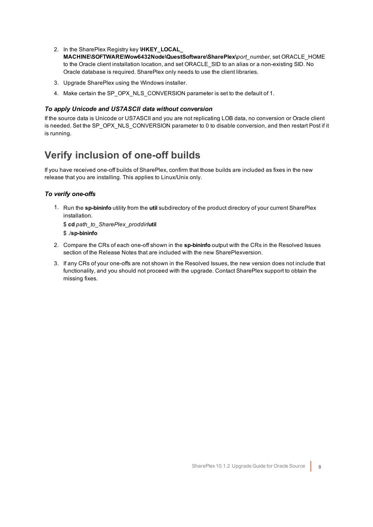- 2. In the SharePlex Registry key **\HKEY\_LOCAL\_ MACHINE\SOFTWARE\Wow6432Node\QuestSoftware\SharePlex\***port\_number*, set ORACLE\_HOME to the Oracle client installation location, and set ORACLE SID to an alias or a non-existing SID. No Oracle database is required. SharePlex only needs to use the client libraries.
- 3. Upgrade SharePlex using the Windows installer.
- 4. Make certain the SP\_OPX\_NLS\_CONVERSION parameter is set to the default of 1.

### *To apply Unicode and US7ASCII data without conversion*

If the source data is Unicode or US7ASCII and you are not replicating LOB data, no conversion or Oracle client is needed. Set the SP\_OPX\_NLS\_CONVERSION parameter to 0 to disable conversion, and then restart Post if it is running.

### <span id="page-7-0"></span>**Verify inclusion of one-off builds**

If you have received one-off builds of SharePlex, confirm that those builds are included as fixes in the new release that you are installing. This applies to Linux/Unix only.

### *To verify one-offs*

1. Run the **sp-bininfo** utility from the **util** subdirectory of the product directory of your current SharePlex installation.

\$ **cd** *path\_to\_SharePlex\_proddir***/util** \$ ./**sp-bininfo**

- 2. Compare the CRs of each one-off shown in the **sp-bininfo** output with the CRs in the Resolved Issues section of the Release Notes that are included with the new SharePlexversion.
- 3. If any CRs of your one-offs are not shown in the Resolved Issues, the new version does not include that functionality, and you should not proceed with the upgrade. Contact SharePlex support to obtain the missing fixes.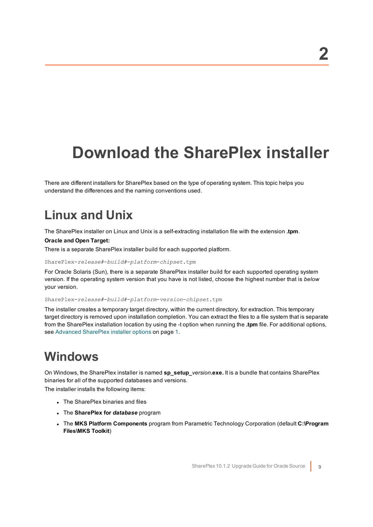# <span id="page-8-0"></span>**Download the SharePlex installer**

There are different installers for SharePlex based on the type of operating system. This topic helps you understand the differences and the naming conventions used.

### <span id="page-8-1"></span>**Linux and Unix**

The SharePlex installer on Linux and Unix is a self-extracting installation file with the extension **.tpm**.

### **Oracle and Open Target:**

There is a separate SharePlex installer build for each supported platform.

#### SharePlex-*release#*-*build#*-*platform*-*chipset*.tpm

For Oracle Solaris (Sun), there is a separate SharePlex installer build for each supported operating system version. If the operating system version that you have is not listed, choose the highest number that is *below* your version.

SharePlex-*release#*-*build#*-*platform*-*version*-*chipset*.tpm

The installer creates a temporary target directory, within the current directory, for extraction. This temporary target directory is removed upon installation completion. You can extract the files to a file system that is separate from the SharePlex installation location by using the -t option when running the **.tpm** file. For additional options, see Advanced SharePlex installer options on page 1.

### <span id="page-8-2"></span>**Windows**

On Windows, the SharePlex installer is named **sp\_setup\_***version***.exe.** It is a bundle that contains SharePlex binaries for all of the supported databases and versions.

The installer installs the following items:

- The SharePlex binaries and files
- <sup>l</sup> The **SharePlex for** *database* program
- <sup>l</sup> The **MKS Platform Components** program from Parametric Technology Corporation (default **C:\Program Files\MKS Toolkit**)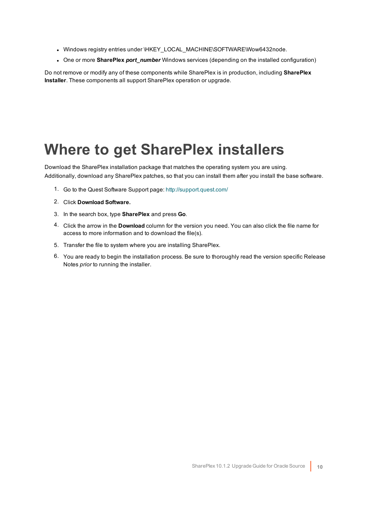- Windows registry entries under \HKEY\_LOCAL\_MACHINE\SOFTWARE\Wow6432node.
- One or more **SharePlex** *port* number Windows services (depending on the installed configuration)

<span id="page-9-0"></span>Do not remove or modify any of these components while SharePlex is in production, including **SharePlex Installer**. These components all support SharePlex operation or upgrade.

## <span id="page-9-1"></span>**Where to get SharePlex installers**

Download the SharePlex installation package that matches the operating system you are using. Additionally, download any SharePlex patches, so that you can install them after you install the base software.

- 1. Go to the Quest Software Support page: <http://support.quest.com/>
- 2. Click **Download Software.**
- 3. In the search box, type **SharePlex** and press **Go**.
- 4. Click the arrow in the **Download** column for the version you need. You can also click the file name for access to more information and to download the file(s).
- 5. Transfer the file to system where you are installing SharePlex.
- 6. You are ready to begin the installation process. Be sure to thoroughly read the version specific Release Notes *prior* to running the installer.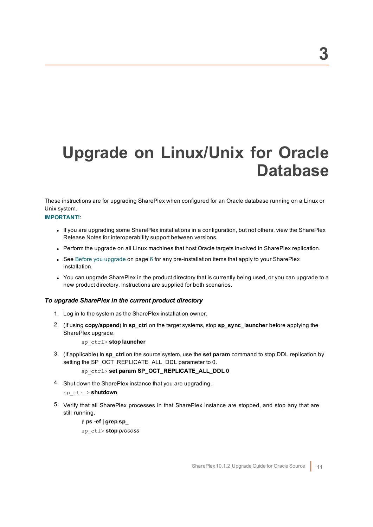# <span id="page-10-0"></span>**Upgrade on Linux/Unix for Oracle Database**

These instructions are for upgrading SharePlex when configured for an Oracle database running on a Linux or Unix system.

### **IMPORTANT!**:

- If you are upgrading some SharePlex installations in a configuration, but not others, view the SharePlex Release Notes for interoperability support between versions.
- Perform the upgrade on all Linux machines that host Oracle targets involved in SharePlex replication.
- See Before you [upgrade](#page-5-0) on page 6 for any pre-installation items that apply to your SharePlex installation.
- You can upgrade SharePlex in the product directory that is currently being used, or you can upgrade to a new product directory. Instructions are supplied for both scenarios.

### *To upgrade SharePlex in the current product directory*

- 1. Log in to the system as the SharePlex installation owner.
- 2. (If using **copy/append**) In **sp\_ctrl** on the target systems, stop **sp\_sync\_launcher** before applying the SharePlex upgrade.

sp\_ctrl> **stop launcher**

3. (If applicable) In **sp\_ctrl** on the source system, use the **set param** command to stop DDL replication by setting the SP\_OCT\_REPLICATE\_ALL\_DDL parameter to 0.

### sp\_ctrl> **set param SP\_OCT\_REPLICATE\_ALL\_DDL 0**

4. Shut down the SharePlex instance that you are upgrading.

### sp\_ctrl> **shutdown**

5. Verify that all SharePlex processes in that SharePlex instance are stopped, and stop any that are still running.

### # **ps -ef | grep sp\_**

sp\_ctl> **stop** *process*

**3**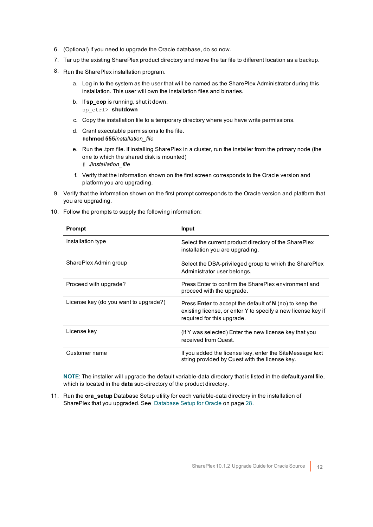- 6. (Optional) If you need to upgrade the Oracle database, do so now.
- 7. Tar up the existing SharePlex product directory and move the tar file to different location as a backup.
- 8. Run the SharePlex installation program.
	- a. Log in to the system as the user that will be named as the SharePlex Administrator during this installation. This user will own the installation files and binaries.
	- b. If **sp\_cop** is running, shut it down. sp\_ctrl> **shutdown**
	- c. Copy the installation file to a temporary directory where you have write permissions.
	- d. Grant executable permissions to the file. #**chmod 555***installation\_file*
	- e. Run the .tpm file. If installing SharePlex in a cluster, run the installer from the primary node (the one to which the shared disk is mounted) # **./***installation\_file*
	- f. Verify that the information shown on the first screen corresponds to the Oracle version and platform you are upgrading.
- 9. Verify that the information shown on the first prompt corresponds to the Oracle version and platform that you are upgrading.
- 10. Follow the prompts to supply the following information:

| Prompt                                | <b>Input</b>                                                                                                                                                   |
|---------------------------------------|----------------------------------------------------------------------------------------------------------------------------------------------------------------|
| Installation type                     | Select the current product directory of the SharePlex<br>installation you are upgrading.                                                                       |
| SharePlex Admin group                 | Select the DBA-privileged group to which the SharePlex<br>Administrator user belongs.                                                                          |
| Proceed with upgrade?                 | Press Enter to confirm the SharePlex environment and<br>proceed with the upgrade.                                                                              |
| License key (do you want to upgrade?) | Press <b>Enter</b> to accept the default of $N$ (no) to keep the<br>existing license, or enter Y to specify a new license key if<br>required for this upgrade. |
| License key                           | (If Y was selected) Enter the new license key that you<br>received from Quest.                                                                                 |
| Customer name                         | If you added the license key, enter the SiteMessage text<br>string provided by Quest with the license key.                                                     |

**NOTE**: The installer will upgrade the default variable-data directory that is listed in the **default.yaml** file, which is located in the **data** sub-directory of the product directory.

11. Run the **ora\_setup** Database Setup utility for each variable-data directory in the installation of SharePlex that you upgraded. See [Database](#page-27-0) Setup for Oracle on page 28.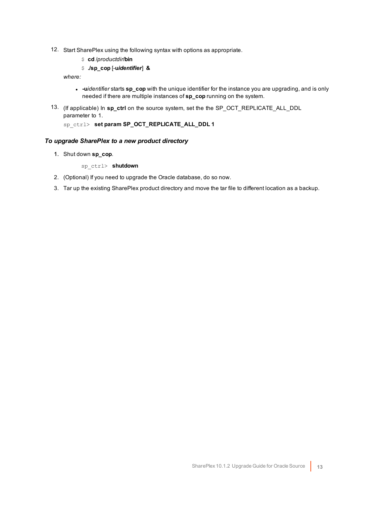- 12. Start SharePlex using the following syntax with options as appropriate.
	- \$ **cd** /*productdir*/**bin**
	- \$ **./sp\_cop** [-**u***identifier*] **&**

*where:*

- **-** -uidentifier starts sp\_cop with the unique identifier for the instance you are upgrading, and is only needed if there are multiple instances of **sp\_cop** running on the system.
- 13. (If applicable) In **sp\_ctrl** on the source system, set the the SP\_OCT\_REPLICATE\_ALL\_DDL parameter to 1.

sp\_ctrl> **set param SP\_OCT\_REPLICATE\_ALL\_DDL 1**

### *To upgrade SharePlex to a new product directory*

1. Shut down **sp\_cop**.

sp\_ctrl> **shutdown**

- 2. (Optional) If you need to upgrade the Oracle database, do so now.
- 3. Tar up the existing SharePlex product directory and move the tar file to different location as a backup.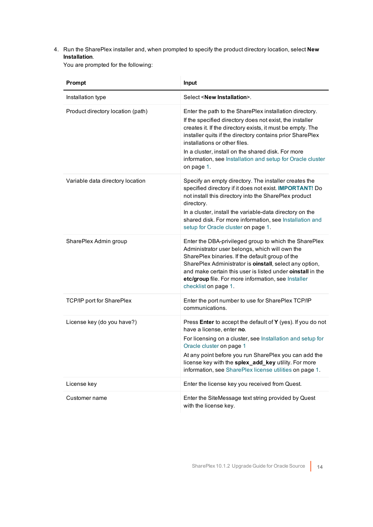4. Run the SharePlex installer and, when prompted to specify the product directory location, select **New Installation**.

You are prompted for the following:

| Prompt                            | Input                                                                                                                                                                                                                                                                                                                                                                                                             |
|-----------------------------------|-------------------------------------------------------------------------------------------------------------------------------------------------------------------------------------------------------------------------------------------------------------------------------------------------------------------------------------------------------------------------------------------------------------------|
| Installation type                 | Select <new installation="">.</new>                                                                                                                                                                                                                                                                                                                                                                               |
| Product directory location (path) | Enter the path to the SharePlex installation directory.<br>If the specified directory does not exist, the installer<br>creates it. If the directory exists, it must be empty. The<br>installer quits if the directory contains prior SharePlex<br>installations or other files.<br>In a cluster, install on the shared disk. For more<br>information, see Installation and setup for Oracle cluster<br>on page 1. |
| Variable data directory location  | Specify an empty directory. The installer creates the<br>specified directory if it does not exist. IMPORTANT! Do<br>not install this directory into the SharePlex product<br>directory.<br>In a cluster, install the variable-data directory on the<br>shared disk. For more information, see Installation and<br>setup for Oracle cluster on page 1.                                                             |
| SharePlex Admin group             | Enter the DBA-privileged group to which the SharePlex<br>Administrator user belongs, which will own the<br>SharePlex binaries. If the default group of the<br>SharePlex Administrator is <b>oinstall</b> , select any option,<br>and make certain this user is listed under oinstall in the<br>etc/group file. For more information, see Installer<br>checklist on page 1.                                        |
| TCP/IP port for SharePlex         | Enter the port number to use for SharePlex TCP/IP<br>communications.                                                                                                                                                                                                                                                                                                                                              |
| License key (do you have?)        | Press Enter to accept the default of Y (yes). If you do not<br>have a license, enter no.<br>For licensing on a cluster, see Installation and setup for<br>Oracle cluster on page 1<br>At any point before you run SharePlex you can add the<br>license key with the splex_add_key utility. For more<br>information, see SharePlex license utilities on page 1.                                                    |
| License key                       | Enter the license key you received from Quest.                                                                                                                                                                                                                                                                                                                                                                    |
| Customer name                     | Enter the SiteMessage text string provided by Quest<br>with the license key.                                                                                                                                                                                                                                                                                                                                      |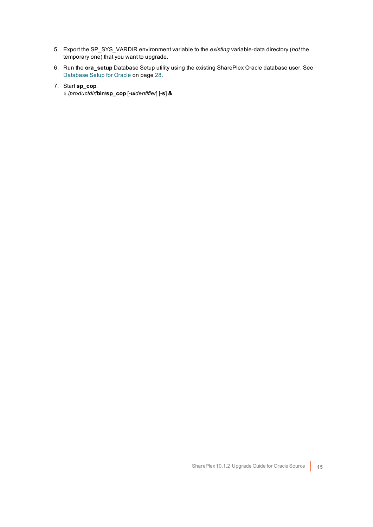- 5. Export the SP\_SYS\_VARDIR environment variable to the *existing* variable-data directory (*not* the temporary one) that you want to upgrade.
- 6. Run the **ora\_setup** Database Setup utility using the existing SharePlex Oracle database user. See [Database](#page-27-0) Setup for Oracle on page 28.
- 7. Start **sp\_cop**.
	- \$ /*productdir*/**bin**/**sp\_cop** [**-u***identifier*] [**-s**] **&**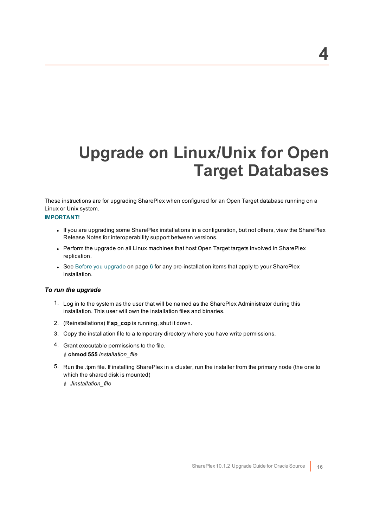# <span id="page-15-0"></span>**Upgrade on Linux/Unix for Open Target Databases**

These instructions are for upgrading SharePlex when configured for an Open Target database running on a Linux or Unix system.

### **IMPORTANT!**

- If you are upgrading some SharePlex installations in a configuration, but not others, view the SharePlex Release Notes for interoperability support between versions.
- Perform the upgrade on all Linux machines that host Open Target targets involved in SharePlex replication.
- See Before you [upgrade](#page-5-0) on page 6 for any pre-installation items that apply to your SharePlex installation.

#### *To run the upgrade*

- 1. Log in to the system as the user that will be named as the SharePlex Administrator during this installation. This user will own the installation files and binaries.
- 2. (Reinstallations) If **sp\_cop** is running, shut it down.
- 3. Copy the installation file to a temporary directory where you have write permissions.
- 4. Grant executable permissions to the file.
	- # **chmod 555** *installation\_file*
- 5. Run the .tpm file. If installing SharePlex in a cluster, run the installer from the primary node (the one to which the shared disk is mounted)
	- # **./***installation\_file*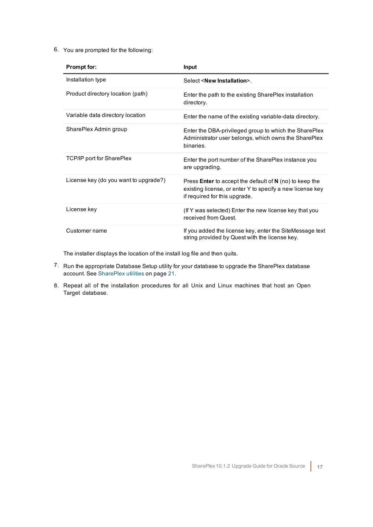6. You are prompted for the following:

| Prompt for:                           | Input                                                                                                                                                          |
|---------------------------------------|----------------------------------------------------------------------------------------------------------------------------------------------------------------|
| Installation type                     | Select <new installation="">.</new>                                                                                                                            |
| Product directory location (path)     | Enter the path to the existing SharePlex installation<br>directory.                                                                                            |
| Variable data directory location      | Enter the name of the existing variable-data directory.                                                                                                        |
| SharePlex Admin group                 | Enter the DBA-privileged group to which the SharePlex<br>Administrator user belongs, which owns the SharePlex<br>binaries.                                     |
| <b>TCP/IP port for SharePlex</b>      | Enter the port number of the SharePlex instance you<br>are upgrading.                                                                                          |
| License key (do you want to upgrade?) | Press <b>Enter</b> to accept the default of $N$ (no) to keep the<br>existing license, or enter Y to specify a new license key<br>if required for this upgrade. |
| License key                           | (If Y was selected) Enter the new license key that you<br>received from Quest.                                                                                 |
| Customer name                         | If you added the license key, enter the SiteMessage text<br>string provided by Quest with the license key.                                                     |

The installer displays the location of the install log file and then quits.

- 7. Run the appropriate Database Setup utility for your database to upgrade the SharePlex database account. See [SharePlex](#page-20-0) utilities on page 21.
- 8. Repeat all of the installation procedures for all Unix and Linux machines that host an Open Target database.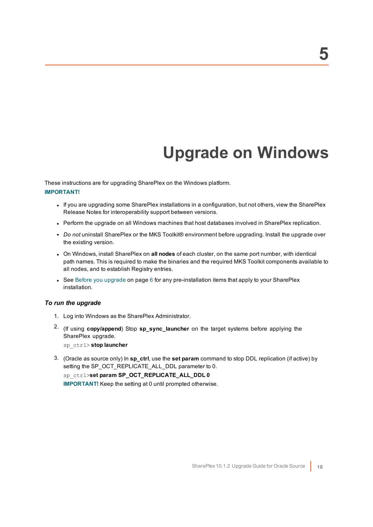# **Upgrade on Windows**

<span id="page-17-0"></span>These instructions are for upgrading SharePlex on the Windows platform. **IMPORTANT!**

- If you are upgrading some SharePlex installations in a configuration, but not others, view the SharePlex Release Notes for interoperability support between versions.
- Perform the upgrade on all Windows machines that host databases involved in SharePlex replication.
- <sup>l</sup> *Do not* uninstall SharePlex or the MKS Toolkit® environment before upgrading. Install the upgrade over the existing version.
- <sup>l</sup> On Windows, install SharePlex on **all nodes** of each cluster, on the same port number, with identical path names. This is required to make the binaries and the required MKS Toolkit components available to all nodes, and to establish Registry entries.
- See Before you [upgrade](#page-5-0) on page 6 for any pre-installation items that apply to your SharePlex installation.

### *To run the upgrade*

- 1. Log into Windows as the SharePlex Administrator.
- 2. (If using **copy/append**) Stop **sp\_sync\_launcher** on the target systems before applying the SharePlex upgrade.

sp\_ctrl> **stop launcher**

3. (Oracle as source only) In **sp\_ctrl**, use the **set param** command to stop DDL replication (if active) by setting the SP\_OCT\_REPLICATE\_ALL\_DDL parameter to 0.

sp\_ctrl>**set param SP\_OCT\_REPLICATE\_ALL\_DDL 0**

**IMPORTANT!** Keep the setting at 0 until prompted otherwise.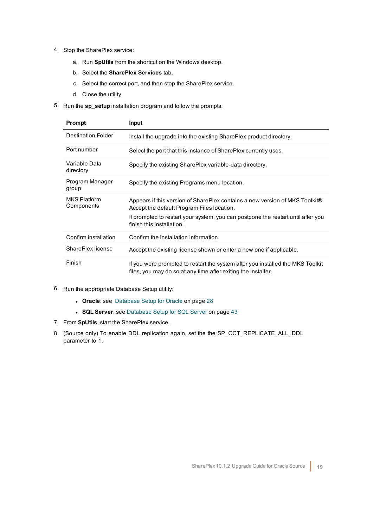- 4. Stop the SharePlex service:
	- a. Run **SpUtils** from the shortcut on the Windows desktop.
	- b. Select the **SharePlex Services** tab**.**
	- c. Select the correct port, and then stop the SharePlex service.
	- d. Close the utility.
- 5. Run the **sp\_setup** installation program and follow the prompts:

| Prompt                            | <b>Input</b>                                                                                                                                    |
|-----------------------------------|-------------------------------------------------------------------------------------------------------------------------------------------------|
| Destination Folder                | Install the upgrade into the existing SharePlex product directory.                                                                              |
| Port number                       | Select the port that this instance of SharePlex currently uses.                                                                                 |
| Variable Data<br>directory        | Specify the existing SharePlex variable-data directory.                                                                                         |
| Program Manager<br>group          | Specify the existing Programs menu location.                                                                                                    |
| <b>MKS Platform</b><br>Components | Appears if this version of SharePlex contains a new version of MKS Toolkit®.<br>Accept the default Program Files location.                      |
|                                   | If prompted to restart your system, you can postpone the restart until after you<br>finish this installation.                                   |
| Confirm installation              | Confirm the installation information.                                                                                                           |
| SharePlex license                 | Accept the existing license shown or enter a new one if applicable.                                                                             |
| Finish                            | If you were prompted to restart the system after you installed the MKS Toolkit<br>files, you may do so at any time after exiting the installer. |

- 6. Run the appropriate Database Setup utility:
	- **Oracle**: see [Database](#page-27-0) Setup for Oracle on page 28
	- **SQL Server**: see [Database](#page-42-0) Setup for SQL Server on page 43
- 7. From **SpUtils**, start the SharePlex service.
- 8. (Source only) To enable DDL replication again, set the the SP\_OCT\_REPLICATE\_ALL\_DDL parameter to 1.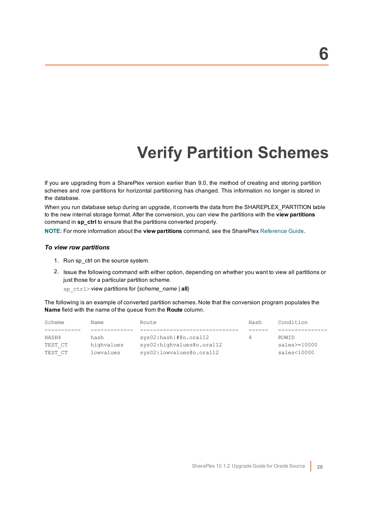# **Verify Partition Schemes**

<span id="page-19-0"></span>If you are upgrading from a SharePlex version earlier than 9.0, the method of creating and storing partition schemes and row partitions for horizontal partitioning has changed. This information no longer is stored in the database.

When you run database setup during an upgrade, it converts the data from the SHAREPLEX\_PARTITION table to the new internal storage format. After the conversion, you can view the partitions with the **view partitions** command in **sp\_ctrl** to ensure that the partitions converted properly.

**NOTE:** For more information about the **view partitions** command, see the SharePlex [Reference](https://support.quest.com/shareplex) Guide.

#### *To view row partitions*

- 1. Run sp\_ctrl on the source system.
- 2. Issue the following command with either option, depending on whether you want to view all partitions or just those for a particular partition scheme.

sp\_ctrl> view partitions for {*scheme\_name* | **all**}

The following is an example of converted partition schemes. Note that the conversion program populates the **Name** field with the name of the queue from the **Route** column.

| Scheme  | Name       | Route                     | Hash | Condition       |
|---------|------------|---------------------------|------|-----------------|
|         |            |                           |      |                 |
| HASH4   | hash       | sys02:hash #@o.ora112     | 4    | ROWID           |
| TEST CT | highvalues | sys02:highvalues@o.ora112 |      | $sales = 10000$ |
| TEST CT | lowyalues  | sys02:lowvalues@o.ora112  |      | sales<10000     |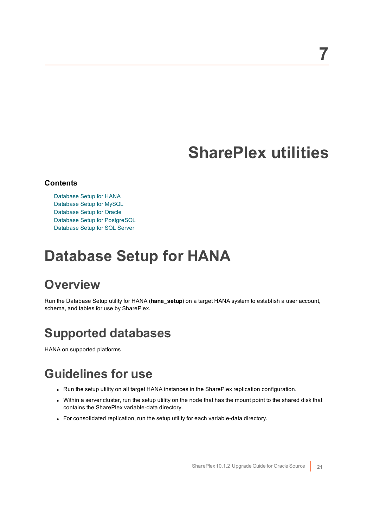## **SharePlex utilities**

### <span id="page-20-0"></span>**Contents**

[Database](#page-20-1) Setup for HANA [Database](#page-23-1) Setup for MySQL [Database](#page-27-0) Setup for Oracle Database Setup for [PostgreSQL](#page-38-0) [Database](#page-42-0) Setup for SQL Server

## <span id="page-20-1"></span>**Database Setup for HANA**

## <span id="page-20-2"></span>**Overview**

Run the Database Setup utility for HANA (**hana\_setup**) on a target HANA system to establish a user account, schema, and tables for use by SharePlex.

## <span id="page-20-3"></span>**Supported databases**

<span id="page-20-4"></span>HANA on supported platforms

## **Guidelines for use**

- Run the setup utility on all target HANA instances in the SharePlex replication configuration.
- Within a server cluster, run the setup utility on the node that has the mount point to the shared disk that contains the SharePlex variable-data directory.
- For consolidated replication, run the setup utility for each variable-data directory.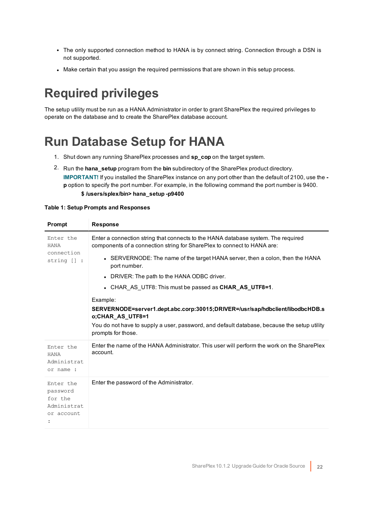- The only supported connection method to HANA is by connect string. Connection through a DSN is not supported.
- Make certain that you assign the required permissions that are shown in this setup process.

## <span id="page-21-0"></span>**Required privileges**

The setup utility must be run as a HANA Administrator in order to grant SharePlex the required privileges to operate on the database and to create the SharePlex database account.

## <span id="page-21-1"></span>**Run Database Setup for HANA**

- 1. Shut down any running SharePlex processes and **sp\_cop** on the target system.
- 2. Run the **hana\_setup** program from the **bin** subdirectory of the SharePlex product directory. **IMPORTANT!** If you installed the SharePlex instance on any port other than the default of 2100, use the  **p** option to specify the port number. For example, in the following command the port number is 9400.

### **\$ /users/splex/bin> hana\_setup -p9400**

#### **Table 1: Setup Prompts and Responses**

| <b>Prompt</b>                                                 | <b>Response</b>                                                                                                                                              |
|---------------------------------------------------------------|--------------------------------------------------------------------------------------------------------------------------------------------------------------|
| Enter the<br><b>HANA</b><br>connection<br>string [] :         | Enter a connection string that connects to the HANA database system. The required<br>components of a connection string for SharePlex to connect to HANA are: |
|                                                               | • SERVERNODE: The name of the target HANA server, then a colon, then the HANA<br>port number.                                                                |
|                                                               | • DRIVER: The path to the HANA ODBC driver.                                                                                                                  |
|                                                               | • CHAR AS UTF8: This must be passed as <b>CHAR AS UTF8=1</b> .                                                                                               |
|                                                               | Example:                                                                                                                                                     |
|                                                               | SERVERNODE=server1.dept.abc.corp:30015;DRIVER=/usr/sap/hdbclient/libodbcHDB.s<br>o;CHAR_AS_UTF8=1                                                            |
|                                                               | You do not have to supply a user, password, and default database, because the setup utility<br>prompts for those.                                            |
| Enter the<br><b>HANA</b><br>Administrat<br>or name :          | Enter the name of the HANA Administrator. This user will perform the work on the SharePlex<br>account.                                                       |
| Enter the<br>password<br>for the<br>Administrat<br>or account | Enter the password of the Administrator.                                                                                                                     |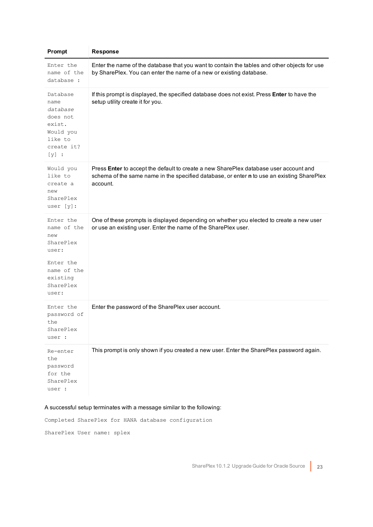| Prompt                                                                                                              | <b>Response</b>                                                                                                                                                                                 |
|---------------------------------------------------------------------------------------------------------------------|-------------------------------------------------------------------------------------------------------------------------------------------------------------------------------------------------|
| Enter the<br>name of the<br>database :                                                                              | Enter the name of the database that you want to contain the tables and other objects for use<br>by SharePlex. You can enter the name of a new or existing database.                             |
| Database<br>name<br>database<br>does not<br>exist.<br>Would you<br>like to<br>create it?<br>$[y]$ :                 | If this prompt is displayed, the specified database does not exist. Press Enter to have the<br>setup utility create it for you.                                                                 |
| Would you<br>like to<br>create a<br>new<br>SharePlex<br>user $[y]$ :                                                | Press Enter to accept the default to create a new SharePlex database user account and<br>schema of the same name in the specified database, or enter n to use an existing SharePlex<br>account. |
| Enter the<br>name of the<br>new<br>SharePlex<br>user:<br>Enter the<br>name of the<br>existing<br>SharePlex<br>user: | One of these prompts is displayed depending on whether you elected to create a new user<br>or use an existing user. Enter the name of the SharePlex user.                                       |
| Enter the<br>password of<br>the<br>SharePlex<br>user :                                                              | Enter the password of the SharePlex user account.                                                                                                                                               |
| Re-enter<br>the<br>password<br>for the<br>SharePlex<br>user :                                                       | This prompt is only shown if you created a new user. Enter the SharePlex password again.                                                                                                        |

### A successful setup terminates with a message similar to the following:

Completed SharePlex for HANA database configuration

SharePlex User name: splex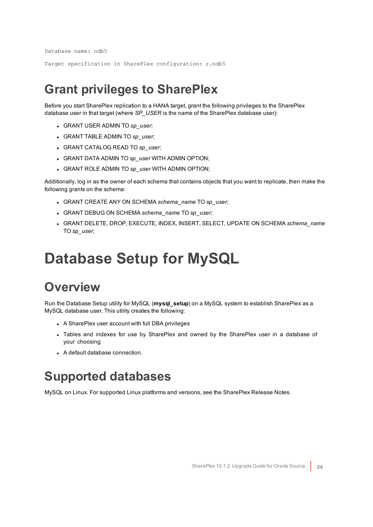Database name: ndb5

<span id="page-23-0"></span>Target specification in SharePlex configuration: r.ndb5

## **Grant privileges to SharePlex**

Before you start SharePlex replication to a HANA target, grant the following privileges to the SharePlex database user in that target (where *SP\_USER* is the name of the SharePlex database user):

- <sup>l</sup> GRANT USER ADMIN TO *sp\_user*;
- <sup>l</sup> GRANT TABLE ADMIN TO *sp\_user*;
- <sup>l</sup> GRANT CATALOG READ TO *sp\_user*;
- <sup>l</sup> GRANT DATA ADMIN TO *sp\_user* WITH ADMIN OPTION;
- <sup>l</sup> GRANT ROLE ADMIN TO *sp\_user* WITH ADMIN OPTION;

Additionally, log in as the owner of each schema that contains objects that you want to replicate, then make the following grants on the schema:

- <sup>l</sup> GRANT CREATE ANY ON SCHEMA *schema\_name* TO *sp\_user*;
- <sup>l</sup> GRANT DEBUG ON SCHEMA *schema\_name* TO *sp\_user*;
- <sup>l</sup> GRANT DELETE, DROP, EXECUTE, INDEX, INSERT, SELECT, UPDATE ON SCHEMA *schema\_name* TO *sp\_user*;

## <span id="page-23-1"></span>**Database Setup for MySQL**

## <span id="page-23-2"></span>**Overview**

Run the Database Setup utility for MySQL (**mysql\_setup**) on a MySQL system to establish SharePlex as a MySQL database user. This utility creates the following:

- A SharePlex user account with full DBA privileges
- Tables and indexes for use by SharePlex and owned by the SharePlex user in a database of your choosing
- <span id="page-23-3"></span>• A default database connection.

### **Supported databases**

MySQL on Linux. For supported Linux platforms and versions, see the SharePlex Release Notes.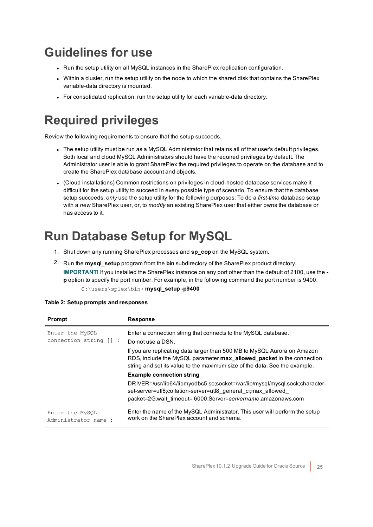## <span id="page-24-0"></span>**Guidelines for use**

- Run the setup utility on all MySQL instances in the SharePlex replication configuration.
- Within a cluster, run the setup utility on the node to which the shared disk that contains the SharePlex variable-data directory is mounted.
- For consolidated replication, run the setup utility for each variable-data directory.

## <span id="page-24-1"></span>**Required privileges**

Review the following requirements to ensure that the setup succeeds.

- The setup utility must be run as a MySQL Administrator that retains all of that user's default privileges. Both local and cloud MySQL Administrators should have the required privileges by default. The Administrator user is able to grant SharePlex the required privileges to operate on the database and to create the SharePlex database account and objects.
- <sup>l</sup> (Cloud installations) Common restrictions on privileges in cloud-hosted database services make it difficult for the setup utility to succeed in every possible type of scenario. To ensure that the database setup succeeds, *only* use the setup utility for the following purposes: To do a *first-time* database setup with a *new* SharePlex user, or, to *modify* an existing SharePlex user that either owns the database or has access to it.

## <span id="page-24-2"></span>**Run Database Setup for MySQL**

- 1. Shut down any running SharePlex processes and **sp\_cop** on the MySQL system.
- 2. Run the **mysql\_setup** program from the **bin** subdirectory of the SharePlex product directory. **IMPORTANT!** If you installed the SharePlex instance on any port other than the default of 2100, use the  **p** option to specify the port number. For example, in the following command the port number is 9400. C:\users\splex\bin> **mysql\_setup -p9400**

| Prompt                                    | <b>Response</b>                                                                                                                                                                                                                 |
|-------------------------------------------|---------------------------------------------------------------------------------------------------------------------------------------------------------------------------------------------------------------------------------|
| Enter the MySQL<br>connection string [] : | Enter a connection string that connects to the MySQL database.<br>Do not use a DSN.                                                                                                                                             |
|                                           | If you are replicating data larger than 500 MB to MySQL Aurora on Amazon<br>RDS, include the MySQL parameter max_allowed_packet in the connection<br>string and set its value to the maximum size of the data. See the example. |
|                                           | <b>Example connection string</b>                                                                                                                                                                                                |
|                                           | DRIVER=/usr/lib64/libmyodbc5.so;socket=/var/lib/mysql/mysql.sock;character-<br>set-server=utf8;collation-server=utf8 general ci;max allowed<br>packet=2G;wait_timeout= 6000;Server=servername.amazonaws.com                     |
| Enter the MySQL<br>Administrator name:    | Enter the name of the MySQL Administrator. This user will perform the setup<br>work on the SharePlex account and schema.                                                                                                        |

|  |  | Table 2: Setup prompts and responses |
|--|--|--------------------------------------|
|--|--|--------------------------------------|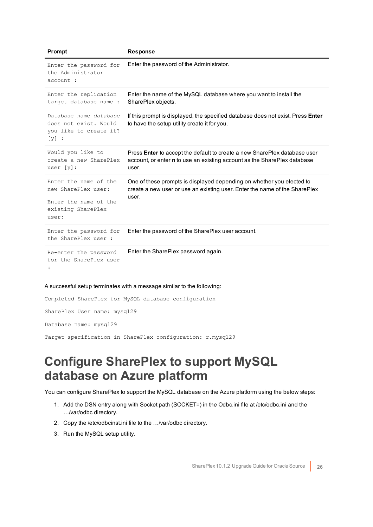| Prompt                                                                                               | <b>Response</b>                                                                                                                                                              |
|------------------------------------------------------------------------------------------------------|------------------------------------------------------------------------------------------------------------------------------------------------------------------------------|
| Enter the password for<br>the Administrator<br>account :                                             | Enter the password of the Administrator.                                                                                                                                     |
| Enter the replication<br>target database name :                                                      | Enter the name of the MySQL database where you want to install the<br>SharePlex objects.                                                                                     |
| Database name database<br>does not exist. Would<br>you like to create it?<br>$[y]$ :                 | If this prompt is displayed, the specified database does not exist. Press Enter<br>to have the setup utility create it for you.                                              |
| Would you like to<br>create a new SharePlex<br>user $[y]$ :                                          | Press <b>Enter</b> to accept the default to create a new SharePlex database user<br>account, or enter <b>n</b> to use an existing account as the SharePlex database<br>user. |
| Enter the name of the<br>new SharePlex user:<br>Enter the name of the<br>existing SharePlex<br>user: | One of these prompts is displayed depending on whether you elected to<br>create a new user or use an existing user. Enter the name of the SharePlex<br>user.                 |
| Enter the password for<br>the SharePlex user :                                                       | Enter the password of the SharePlex user account.                                                                                                                            |
| Re-enter the password<br>for the SharePlex user                                                      | Enter the SharePlex password again.                                                                                                                                          |

#### A successful setup terminates with a message similar to the following:

Completed SharePlex for MySQL database configuration SharePlex User name: mysql29 Database name: mysql29

<span id="page-25-0"></span>Target specification in SharePlex configuration: r.mysql29

### **Configure SharePlex to support MySQL database on Azure platform**

You can configure SharePlex to support the MySQL database on the Azure platform using the below steps:

- 1. Add the DSN entry along with Socket path (SOCKET=) in the Odbc.ini file at /etc/odbc.ini and the …/var/odbc directory.
- 2. Copy the /etc/odbcinst.ini file to the …/var/odbc directory.
- 3. Run the MySQL setup utility.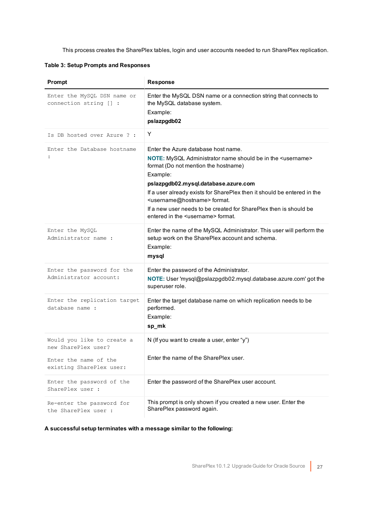This process creates the SharePlex tables, login and user accounts needed to run SharePlex replication.

**Table 3: Setup Prompts and Responses**

| Prompt                                                | <b>Response</b>                                                                                                                                                                                                                                                                                                                                                                                                                                                    |
|-------------------------------------------------------|--------------------------------------------------------------------------------------------------------------------------------------------------------------------------------------------------------------------------------------------------------------------------------------------------------------------------------------------------------------------------------------------------------------------------------------------------------------------|
| Enter the MySQL DSN name or<br>connection string [] : | Enter the MySQL DSN name or a connection string that connects to<br>the MySQL database system.<br>Example:<br>pslazpgdb02                                                                                                                                                                                                                                                                                                                                          |
| Is DB hosted over Azure ? :                           | Y                                                                                                                                                                                                                                                                                                                                                                                                                                                                  |
| Enter the Database hostname<br>$\ddot{\phantom{a}}$   | Enter the Azure database host name.<br>NOTE: MySQL Administrator name should be in the <username><br/>format (Do not mention the hostname)<br/>Example:<br/>pslazpgdb02.mysql.database.azure.com<br/>If a user already exists for SharePlex then it should be entered in the<br/><username@hostname> format.<br/>If a new user needs to be created for SharePlex then is should be<br/>entered in the <username> format.</username></username@hostname></username> |
| Enter the MySQL<br>Administrator name :               | Enter the name of the MySQL Administrator. This user will perform the<br>setup work on the SharePlex account and schema.<br>Example:<br>mysql                                                                                                                                                                                                                                                                                                                      |
| Enter the password for the<br>Administrator account:  | Enter the password of the Administrator.<br>NOTE: User 'mysql@pslazpgdb02.mysql.database.azure.com' got the<br>superuser role.                                                                                                                                                                                                                                                                                                                                     |
| Enter the replication target<br>database name :       | Enter the target database name on which replication needs to be<br>performed.<br>Example:<br>sp_mk                                                                                                                                                                                                                                                                                                                                                                 |
| Would you like to create a<br>new SharePlex user?     | N (If you want to create a user, enter "y")                                                                                                                                                                                                                                                                                                                                                                                                                        |
| Enter the name of the<br>existing SharePlex user:     | Enter the name of the SharePlex user.                                                                                                                                                                                                                                                                                                                                                                                                                              |
| Enter the password of the<br>SharePlex user :         | Enter the password of the SharePlex user account.                                                                                                                                                                                                                                                                                                                                                                                                                  |
| Re-enter the password for<br>the SharePlex user :     | This prompt is only shown if you created a new user. Enter the<br>SharePlex password again.                                                                                                                                                                                                                                                                                                                                                                        |

**A successful setup terminates with a message similar to the following:**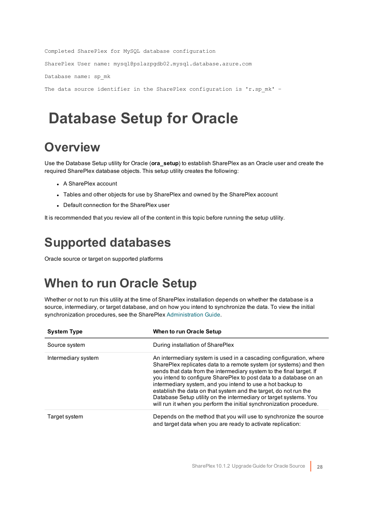```
Completed SharePlex for MySQL database configuration
SharePlex User name: mysql@pslazpgdb02.mysql.database.azure.com
Database name: sp_mk
The data source identifier in the SharePlex configuration is 'r.sp mk' -
```
## <span id="page-27-0"></span>**Database Setup for Oracle**

## <span id="page-27-1"></span>**Overview**

Use the Database Setup utility for Oracle (**ora\_setup**) to establish SharePlex as an Oracle user and create the required SharePlex database objects. This setup utility creates the following:

- A SharePlex account
- Tables and other objects for use by SharePlex and owned by the SharePlex account
- Default connection for the SharePlex user

<span id="page-27-2"></span>It is recommended that you review all of the content in this topic before running the setup utility.

## **Supported databases**

<span id="page-27-3"></span>Oracle source or target on supported platforms

## **When to run Oracle Setup**

Whether or not to run this utility at the time of SharePlex installation depends on whether the database is a source, intermediary, or target database, and on how you intend to synchronize the data. To view the initial synchronization procedures, see the SharePlex [Administration](https://support.quest.com/shareplex) Guide.

| <b>System Type</b>  | <b>When to run Oracle Setup</b>                                                                                                                                                                                                                                                                                                                                                                                                                                                                                                                                      |
|---------------------|----------------------------------------------------------------------------------------------------------------------------------------------------------------------------------------------------------------------------------------------------------------------------------------------------------------------------------------------------------------------------------------------------------------------------------------------------------------------------------------------------------------------------------------------------------------------|
| Source system       | During installation of SharePlex                                                                                                                                                                                                                                                                                                                                                                                                                                                                                                                                     |
| Intermediary system | An intermediary system is used in a cascading configuration, where<br>SharePlex replicates data to a remote system (or systems) and then<br>sends that data from the intermediary system to the final target. If<br>you intend to configure SharePlex to post data to a database on an<br>intermediary system, and you intend to use a hot backup to<br>establish the data on that system and the target, do not run the<br>Database Setup utility on the intermediary or target systems. You<br>will run it when you perform the initial synchronization procedure. |
| Target system       | Depends on the method that you will use to synchronize the source<br>and target data when you are ready to activate replication:                                                                                                                                                                                                                                                                                                                                                                                                                                     |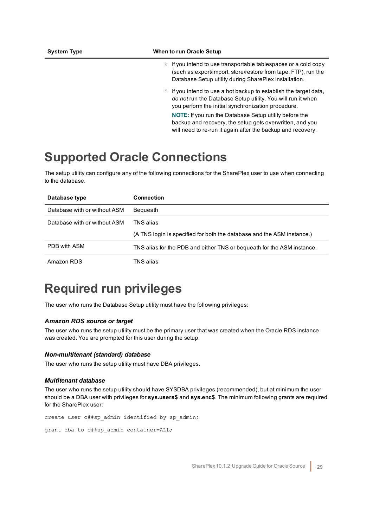#### **System Type When to run Oracle Setup**

- o If you intend to use transportable tablespaces or a cold copy (such as export/import, store/restore from tape, FTP), run the Database Setup utility during SharePlex installation.
- $\degree$  If you intend to use a hot backup to establish the target data, *do not* run the Database Setup utility. You will run it when you perform the initial synchronization procedure.

**NOTE:** If you run the Database Setup utility before the backup and recovery, the setup gets overwritten, and you will need to re-run it again after the backup and recovery.

### <span id="page-28-0"></span>**Supported Oracle Connections**

The setup utility can configure any of the following connections for the SharePlex user to use when connecting to the database.

| Database type                | <b>Connection</b>                                                                   |
|------------------------------|-------------------------------------------------------------------------------------|
| Database with or without ASM | Bequeath                                                                            |
| Database with or without ASM | TNS alias<br>(A TNS login is specified for both the database and the ASM instance.) |
| PDB with ASM                 | TNS alias for the PDB and either TNS or bequeath for the ASM instance.              |
| Amazon RDS                   | TNS alias                                                                           |

## <span id="page-28-1"></span>**Required run privileges**

The user who runs the Database Setup utility must have the following privileges:

#### *Amazon RDS source or target*

The user who runs the setup utility must be the primary user that was created when the Oracle RDS instance was created. You are prompted for this user during the setup.

#### *Non-multitenant (standard) database*

The user who runs the setup utility must have DBA privileges.

#### *Multitenant database*

The user who runs the setup utility should have SYSDBA privileges (recommended), but at minimum the user should be a DBA user with privileges for **sys.users\$** and **sys.enc\$**. The minimum following grants are required for the SharePlex user:

```
create user c##sp_admin identified by sp_admin;
```
grant dba to c##sp admin container=ALL;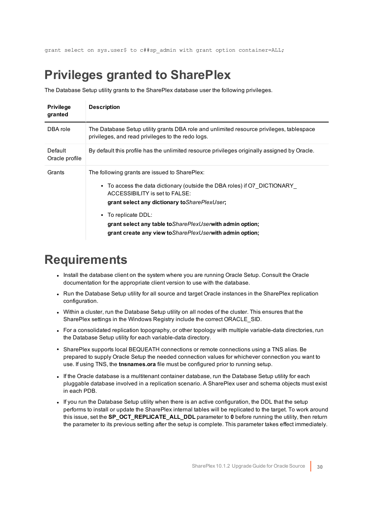<span id="page-29-0"></span>grant select on sys.user\$ to c##sp\_admin with grant option container=ALL;

## **Privileges granted to SharePlex**

The Database Setup utility grants to the SharePlex database user the following privileges.

| <b>Privilege</b><br>granted | <b>Description</b>                                                                                                                                                                                                                                                                                                                                                                |
|-----------------------------|-----------------------------------------------------------------------------------------------------------------------------------------------------------------------------------------------------------------------------------------------------------------------------------------------------------------------------------------------------------------------------------|
| DBA role                    | The Database Setup utility grants DBA role and unlimited resource privileges, tablespace<br>privileges, and read privileges to the redo logs.                                                                                                                                                                                                                                     |
| Default<br>Oracle profile   | By default this profile has the unlimited resource privileges originally assigned by Oracle.                                                                                                                                                                                                                                                                                      |
| Grants                      | The following grants are issued to SharePlex:<br>• To access the data dictionary (outside the DBA roles) if O7 DICTIONARY<br>ACCESSIBILITY is set to FALSE:<br>grant select any dictionary to Share PlexUser;<br>• To replicate DDL:<br>grant select any table to <i>Share Plex User</i> with admin option;<br>grant create any view to <i>Share Plex User</i> with admin option; |

### <span id="page-29-1"></span>**Requirements**

- Install the database client on the system where you are running Oracle Setup. Consult the Oracle documentation for the appropriate client version to use with the database.
- Run the Database Setup utility for all source and target Oracle instances in the SharePlex replication configuration.
- Within a cluster, run the Database Setup utility on all nodes of the cluster. This ensures that the SharePlex settings in the Windows Registry include the correct ORACLE\_SID.
- For a consolidated replication topography, or other topology with multiple variable-data directories, run the Database Setup utility for each variable-data directory.
- SharePlex supports local BEQUEATH connections or remote connections using a TNS alias. Be prepared to supply Oracle Setup the needed connection values for whichever connection you want to use. If using TNS, the **tnsnames.ora** file must be configured prior to running setup.
- If the Oracle database is a multitenant container database, run the Database Setup utility for each pluggable database involved in a replication scenario. A SharePlex user and schema objects must exist in each PDB.
- If you run the Database Setup utility when there is an active configuration, the DDL that the setup performs to install or update the SharePlex internal tables will be replicated to the target. To work around this issue, set the **SP\_OCT\_REPLICATE\_ALL\_DDL** parameter to **0** before running the utility, then return the parameter to its previous setting after the setup is complete. This parameter takes effect immediately.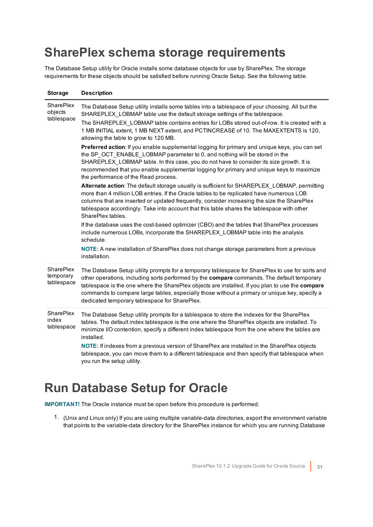## <span id="page-30-0"></span>**SharePlex schema storage requirements**

The Database Setup utility for Oracle installs some database objects for use by SharePlex. The storage requirements for these objects should be satisfied before running Oracle Setup. See the following table.

| <b>Storage</b>                            | <b>Description</b>                                                                                                                                                                                                                                                                                                                                                                                                                                  |
|-------------------------------------------|-----------------------------------------------------------------------------------------------------------------------------------------------------------------------------------------------------------------------------------------------------------------------------------------------------------------------------------------------------------------------------------------------------------------------------------------------------|
| <b>SharePlex</b><br>objects<br>tablespace | The Database Setup utility installs some tables into a tablespace of your choosing. All but the<br>SHAREPLEX_LOBMAP table use the default storage settings of the tablespace.<br>The SHAREPLEX_LOBMAP table contains entries for LOBs stored out-of-row. It is created with a                                                                                                                                                                       |
|                                           | 1 MB INITIAL extent, 1 MB NEXT extent, and PCTINCREASE of 10. The MAXEXTENTS is 120,<br>allowing the table to grow to 120 MB.                                                                                                                                                                                                                                                                                                                       |
|                                           | Preferred action: If you enable supplemental logging for primary and unique keys, you can set<br>the SP_OCT_ENABLE_LOBMAP parameter to 0, and nothing will be stored in the<br>SHAREPLEX LOBMAP table. In this case, you do not have to consider its size growth. It is<br>recommended that you enable supplemental logging for primary and unique keys to maximize<br>the performance of the Read process.                                         |
|                                           | Alternate action: The default storage usually is sufficient for SHAREPLEX LOBMAP, permitting<br>more than 4 million LOB entries. If the Oracle tables to be replicated have numerous LOB<br>columns that are inserted or updated frequently, consider increasing the size the SharePlex<br>tablespace accordingly. Take into account that this table shares the tablespace with other<br>SharePlex tables                                           |
|                                           | If the database uses the cost-based optimizer (CBO) and the tables that SharePlex processes<br>include numerous LOBs, incorporate the SHAREPLEX_LOBMAP table into the analysis<br>schedule.                                                                                                                                                                                                                                                         |
|                                           | NOTE: A new installation of SharePlex does not change storage parameters from a previous<br>installation.                                                                                                                                                                                                                                                                                                                                           |
| SharePlex<br>temporary<br>tablespace      | The Database Setup utility prompts for a temporary tablespace for SharePlex to use for sorts and<br>other operations, including sorts performed by the compare commands. The default temporary<br>tablespace is the one where the SharePlex objects are installed. If you plan to use the compare<br>commands to compare large tables, especially those without a primary or unique key, specify a<br>dedicated temporary tablespace for SharePlex. |
| SharePlex<br>index<br>tablespace          | The Database Setup utility prompts for a tablespace to store the indexes for the SharePlex<br>tables. The default index tablespace is the one where the SharePlex objects are installed. To<br>minimize I/O contention, specify a different index tablespace from the one where the tables are<br>installed.                                                                                                                                        |
|                                           | NOTE: If indexes from a previous version of SharePlex are installed in the SharePlex objects<br>tablespace, you can move them to a different tablespace and then specify that tablespace when<br>you run the setup utility.                                                                                                                                                                                                                         |

## <span id="page-30-1"></span>**Run Database Setup for Oracle**

**IMPORTANT!** The Oracle instance must be open before this procedure is performed.

1. (Unix and Linux only) If you are using multiple variable-data directories, export the environment variable that points to the variable-data directory for the SharePlex instance for which you are running Database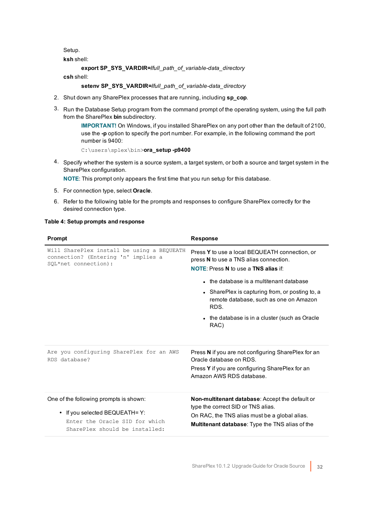Setup.

**ksh** shell:

**export SP\_SYS\_VARDIR=/***full\_path\_of\_variable-data\_directory*

**csh** shell:

**setenv SP\_SYS\_VARDIR=/***full\_path\_of\_variable-data\_directory*

- 2. Shut down any SharePlex processes that are running, including **sp\_cop**.
- 3. Run the Database Setup program from the command prompt of the operating system, using the full path from the SharePlex **bin** subdirectory.

**IMPORTANT!** On Windows, if you installed SharePlex on any port other than the default of 2100, use the **-p** option to specify the port number. For example, in the following command the port number is 9400:

C:\users\splex\bin>**ora\_setup -p9400**

4. Specify whether the system is a source system, a target system, or both a source and target system in the SharePlex configuration.

**NOTE**: This prompt only appears the first time that you run setup for this database.

- 5. For connection type, select **Oracle**.
- 6. Refer to the following table for the prompts and responses to configure SharePlex correctly for the desired connection type.

#### **Table 4: Setup prompts and response**

| <b>Prompt</b>                                                                                                                                | <b>Response</b>                                                                                                                                                                                                                                                                                                                                    |
|----------------------------------------------------------------------------------------------------------------------------------------------|----------------------------------------------------------------------------------------------------------------------------------------------------------------------------------------------------------------------------------------------------------------------------------------------------------------------------------------------------|
| Will SharePlex install be using a BEQUEATH<br>connection? (Entering 'n' implies a<br>SQL*net connection):                                    | Press Y to use a local BEQUEATH connection, or<br>press N to use a TNS alias connection.<br><b>NOTE:</b> Press N to use a TNS alias if:<br>• the database is a multitenant database<br>• SharePlex is capturing from, or posting to, a<br>remote database, such as one on Amazon<br>RDS.<br>• the database is in a cluster (such as Oracle<br>RAC) |
| Are you configuring SharePlex for an AWS<br>RDS database?                                                                                    | Press N if you are not configuring SharePlex for an<br>Oracle database on RDS.<br>Press Y if you are configuring SharePlex for an<br>Amazon AWS RDS database.                                                                                                                                                                                      |
| One of the following prompts is shown:<br>• If you selected BEQUEATH= Y:<br>Enter the Oracle SID for which<br>SharePlex should be installed: | <b>Non-multitenant database:</b> Accept the default or<br>type the correct SID or TNS alias.<br>On RAC, the TNS alias must be a global alias.<br><b>Multitenant database:</b> Type the TNS alias of the                                                                                                                                            |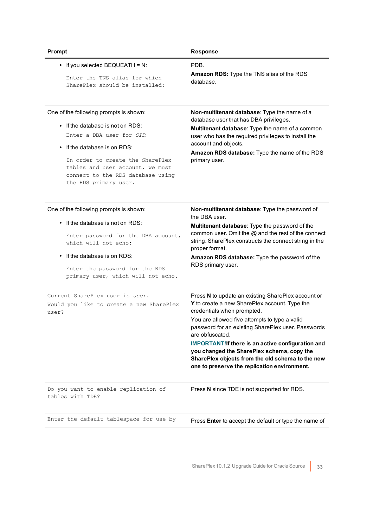| Prompt                                                                                                                                                                                                                                                                        | <b>Response</b>                                                                                                                                                                                                                                                                                                                                                                                                                                                           |
|-------------------------------------------------------------------------------------------------------------------------------------------------------------------------------------------------------------------------------------------------------------------------------|---------------------------------------------------------------------------------------------------------------------------------------------------------------------------------------------------------------------------------------------------------------------------------------------------------------------------------------------------------------------------------------------------------------------------------------------------------------------------|
| • If you selected BEQUEATH = $N$ :<br>Enter the TNS alias for which<br>SharePlex should be installed:                                                                                                                                                                         | PDB.<br>Amazon RDS: Type the TNS alias of the RDS<br>database.                                                                                                                                                                                                                                                                                                                                                                                                            |
| One of the following prompts is shown:<br>• If the database is not on RDS:<br>Enter a DBA user for SID:<br>• If the database is on RDS:<br>In order to create the SharePlex<br>tables and user account, we must<br>connect to the RDS database using<br>the RDS primary user. | Non-multitenant database: Type the name of a<br>database user that has DBA privileges.<br>Multitenant database: Type the name of a common<br>user who has the required privileges to install the<br>account and objects.<br>Amazon RDS database: Type the name of the RDS<br>primary user.                                                                                                                                                                                |
| One of the following prompts is shown:<br>$\bullet$ If the database is not on RDS:<br>Enter password for the DBA account,<br>which will not echo:<br>If the database is on RDS:<br>Enter the password for the RDS<br>primary user, which will not echo.                       | Non-multitenant database: Type the password of<br>the DBA user.<br>Multitenant database: Type the password of the<br>common user. Omit the @ and the rest of the connect<br>string. SharePlex constructs the connect string in the<br>proper format.<br>Amazon RDS database: Type the password of the<br>RDS primary user.                                                                                                                                                |
| Current SharePlex user is user.<br>Would you like to create a new SharePlex<br>user?                                                                                                                                                                                          | Press N to update an existing SharePlex account or<br>Y to create a new SharePlex account. Type the<br>credentials when prompted.<br>You are allowed five attempts to type a valid<br>password for an existing SharePlex user. Passwords<br>are obfuscated.<br><b>IMPORTANT!If there is an active configuration and</b><br>you changed the SharePlex schema, copy the<br>SharePlex objects from the old schema to the new<br>one to preserve the replication environment. |
| Do you want to enable replication of<br>tables with TDE?                                                                                                                                                                                                                      | Press N since TDE is not supported for RDS.                                                                                                                                                                                                                                                                                                                                                                                                                               |
| Enter the default tablespace for use by                                                                                                                                                                                                                                       | Press Enter to accept the default or type the name of                                                                                                                                                                                                                                                                                                                                                                                                                     |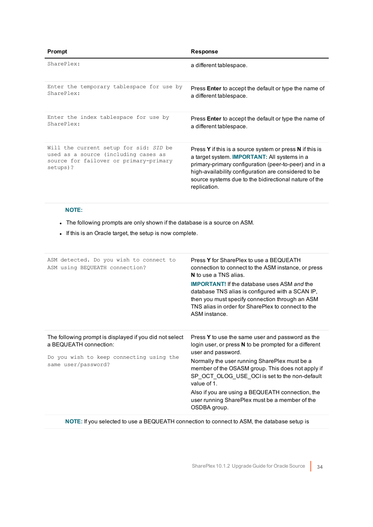| Prompt                                                                                                                               | <b>Response</b>                                                                                                                                                                                                                                                                                           |
|--------------------------------------------------------------------------------------------------------------------------------------|-----------------------------------------------------------------------------------------------------------------------------------------------------------------------------------------------------------------------------------------------------------------------------------------------------------|
| SharePlex:                                                                                                                           | a different tablespace.                                                                                                                                                                                                                                                                                   |
| Enter the temporary tablespace for use by<br>SharePlex:                                                                              | Press <b>Enter</b> to accept the default or type the name of<br>a different tablespace.                                                                                                                                                                                                                   |
| Enter the index tablespace for use by<br>$Shar$ Plex:                                                                                | Press <b>Enter</b> to accept the default or type the name of<br>a different tablespace.                                                                                                                                                                                                                   |
| Will the current setup for sid: SID be<br>used as a source (including cases as<br>source for failover or primary-primary<br>setups)? | Press Y if this is a source system or press N if this is<br>a target system. <b>IMPORTANT:</b> All systems in a<br>primary-primary configuration (peer-to-peer) and in a<br>high-availability configuration are considered to be<br>source systems due to the bidirectional nature of the<br>replication. |

### **NOTE:**

- The following prompts are only shown if the database is a source on ASM.
- If this is an Oracle target, the setup is now complete.

| ASM detected. Do you wish to connect to<br>ASM using BEQUEATH connection?                                                                            | Press Y for SharePlex to use a BEQUEATH<br>connection to connect to the ASM instance, or press<br>N to use a TNS alias.<br><b>IMPORTANT!</b> If the database uses ASM and the<br>database TNS alias is configured with a SCAN IP,<br>then you must specify connection through an ASM<br>TNS alias in order for SharePlex to connect to the<br>ASM instance.                                                                 |
|------------------------------------------------------------------------------------------------------------------------------------------------------|-----------------------------------------------------------------------------------------------------------------------------------------------------------------------------------------------------------------------------------------------------------------------------------------------------------------------------------------------------------------------------------------------------------------------------|
| The following prompt is displayed if you did not select<br>a BEQUEATH connection:<br>Do you wish to keep connecting using the<br>same user/password? | Press Y to use the same user and password as the<br>login user, or press N to be prompted for a different<br>user and password.<br>Normally the user running SharePlex must be a<br>member of the OSASM group. This does not apply if<br>SP OCT OLOG USE OCI is set to the non-default<br>value of 1.<br>Also if you are using a BEQUEATH connection, the<br>user running SharePlex must be a member of the<br>OSDBA group. |

**NOTE:** If you selected to use a BEQUEATH connection to connect to ASM, the database setup is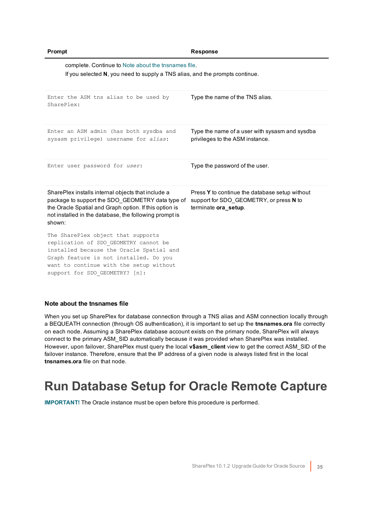| Prompt                                                                                                                                                                                                                                         | <b>Response</b>                                                                                                   |
|------------------------------------------------------------------------------------------------------------------------------------------------------------------------------------------------------------------------------------------------|-------------------------------------------------------------------------------------------------------------------|
| complete. Continue to Note about the thsnames file.<br>If you selected N, you need to supply a TNS alias, and the prompts continue.                                                                                                            |                                                                                                                   |
| Enter the ASM tns alias to be used by<br>SharePlex:                                                                                                                                                                                            | Type the name of the TNS alias.                                                                                   |
| Enter an ASM admin (has both sysdba and<br>sysasm privilege) username for alias:                                                                                                                                                               | Type the name of a user with sysasm and sysdba<br>privileges to the ASM instance.                                 |
| Enter user password for user:                                                                                                                                                                                                                  | Type the password of the user.                                                                                    |
| SharePlex installs internal objects that include a<br>package to support the SDO_GEOMETRY data type of<br>the Oracle Spatial and Graph option. If this option is<br>not installed in the database, the following prompt is<br>shown:           | Press Y to continue the database setup without<br>support for SDO_GEOMETRY, or press N to<br>terminate ora_setup. |
| The SharePlex object that supports<br>replication of SDO GEOMETRY cannot be<br>installed because the Oracle Spatial and<br>Graph feature is not installed. Do you<br>want to continue with the setup without<br>support for SDO GEOMETRY? [n]: |                                                                                                                   |

#### <span id="page-34-1"></span>**Note about the tnsnames file**

When you set up SharePlex for database connection through a TNS alias and ASM connection locally through a BEQUEATH connection (through OS authentication), it is important to set up the **tnsnames.ora** file correctly on each node. Assuming a SharePlex database account exists on the primary node, SharePlex will always connect to the primary ASM\_SID automatically because it was provided when SharePlex was installed. However, upon failover, SharePlex must query the local **v\$asm\_client** view to get the correct ASM\_SID of the failover instance. Therefore, ensure that the IP address of a given node is always listed first in the local **tnsnames.ora** file on that node.

## <span id="page-34-0"></span>**Run Database Setup for Oracle Remote Capture**

**IMPORTANT!** The Oracle instance must be open before this procedure is performed.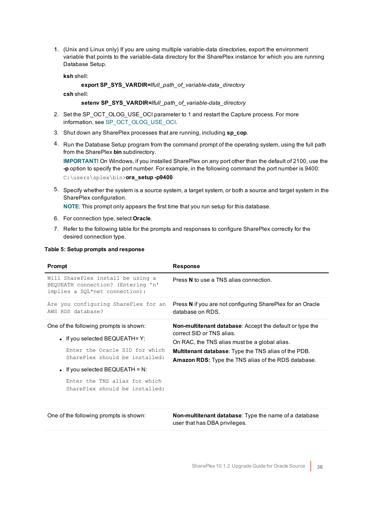1. (Unix and Linux only) If you are using multiple variable-data directories, export the environment variable that points to the variable-data directory for the SharePlex instance for which you are running Database Setup.

**ksh** shell:

#### **export SP\_SYS\_VARDIR=/***full\_path\_of\_variable-data\_directory*

**csh** shell:

#### **setenv SP\_SYS\_VARDIR=/***full\_path\_of\_variable-data\_directory*

- 2. Set the SP\_OCT\_OLOG\_USE\_OCI parameter to 1 and restart the Capture process. For more information, see SP\_OCT\_OLOG\_USE\_OCI.
- 3. Shut down any SharePlex processes that are running, including **sp\_cop**.
- 4. Run the Database Setup program from the command prompt of the operating system, using the full path from the SharePlex **bin** subdirectory.

**IMPORTANT!** On Windows, if you installed SharePlex on any port other than the default of 2100, use the **-p** option to specify the port number. For example, in the following command the port number is 9400: C:\users\splex\bin>**ora\_setup -p9400**

5. Specify whether the system is a source system, a target system, or both a source and target system in the SharePlex configuration.

**NOTE**: This prompt only appears the first time that you run setup for this database.

- 6. For connection type, select **Oracle**.
- 7. Refer to the following table for the prompts and responses to configure SharePlex correctly for the desired connection type.

| Prompt                                                                                                                                                                                                                                                | <b>Response</b>                                                                                                                                                                                                                                                            |
|-------------------------------------------------------------------------------------------------------------------------------------------------------------------------------------------------------------------------------------------------------|----------------------------------------------------------------------------------------------------------------------------------------------------------------------------------------------------------------------------------------------------------------------------|
| Will SharePlex install be using a<br>BEQUEATH connection? (Entering 'n'<br>implies a SQL*net connection):                                                                                                                                             | Press N to use a TNS alias connection.                                                                                                                                                                                                                                     |
| Are you configuring SharePlex for an<br>AWS RDS database?                                                                                                                                                                                             | Press N if you are not configuring SharePlex for an Oracle<br>database on RDS.                                                                                                                                                                                             |
| One of the following prompts is shown:<br>• If you selected BEQUEATH= $Y$ :<br>Enter the Oracle SID for which<br>SharePlex should be installed:<br>• If you selected BEQUEATH = N:<br>Enter the TNS alias for which<br>SharePlex should be installed: | <b>Non-multitenant database:</b> Accept the default or type the<br>correct SID or TNS alias.<br>On RAC, the TNS alias must be a global alias.<br><b>Multitenant database:</b> Type the TNS alias of the PDB.<br><b>Amazon RDS:</b> Type the TNS alias of the RDS database. |

#### **Table 5: Setup prompts and response**

| One of the following prompts is shown: |  |
|----------------------------------------|--|
|----------------------------------------|--|

Non-multitenant database: Type the name of a database user that has DBA privileges.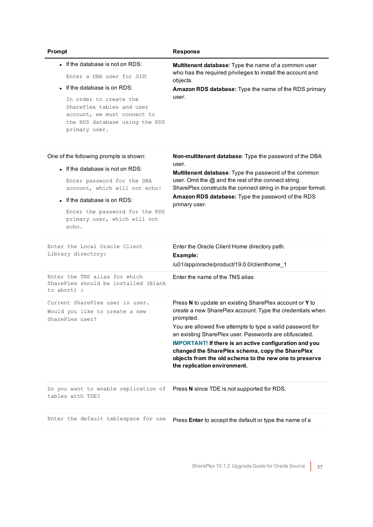| Prompt                                                                                                                                                                                                                                               | <b>Response</b>                                                                                                                                                                                                                                                                                                                                                                                                                                                         |
|------------------------------------------------------------------------------------------------------------------------------------------------------------------------------------------------------------------------------------------------------|-------------------------------------------------------------------------------------------------------------------------------------------------------------------------------------------------------------------------------------------------------------------------------------------------------------------------------------------------------------------------------------------------------------------------------------------------------------------------|
| • If the database is not on RDS:<br>Enter a DBA user for SID:<br>• If the database is on RDS:<br>In order to create the<br>SharePlex tables and user<br>account, we must connect to<br>the RDS database using the RDS<br>primary user.               | Multitenant database: Type the name of a common user<br>who has the required privileges to install the account and<br>objects.<br>Amazon RDS database: Type the name of the RDS primary<br>user.                                                                                                                                                                                                                                                                        |
| One of the following prompts is shown:<br>• If the database is not on RDS:<br>Enter password for the DBA<br>account, which will not echo:<br>• If the database is on RDS:<br>Enter the password for the RDS<br>primary user, which will not<br>echo. | Non-multitenant database: Type the password of the DBA<br>user.<br>Multitenant database: Type the password of the common<br>user. Omit the @ and the rest of the connect string.<br>SharePlex constructs the connect string in the proper format.<br>Amazon RDS database: Type the password of the RDS<br>primary user.                                                                                                                                                 |
| Enter the Local Oracle Client<br>Library directory:                                                                                                                                                                                                  | Enter the Oracle Client Home directory path.<br>Example:<br>/u01/app/oracle/product/19.0.0/clienthome_1                                                                                                                                                                                                                                                                                                                                                                 |
| Enter the TNS alias for which<br>SharePlex should be installed (Blank<br>to abort) :                                                                                                                                                                 | Enter the name of the TNS alias                                                                                                                                                                                                                                                                                                                                                                                                                                         |
| Current SharePlex user is user.<br>Would you like to create a new<br>SharePlex user?                                                                                                                                                                 | Press N to update an existing SharePlex account or Y to<br>create a new SharePlex account. Type the credentials when<br>prompted.<br>You are allowed five attempts to type a valid password for<br>an existing SharePlex user. Passwords are obfuscated.<br><b>IMPORTANT!</b> If there is an active configuration and you<br>changed the SharePlex schema, copy the SharePlex<br>objects from the old schema to the new one to preserve<br>the replication environment. |
| Do you want to enable replication of<br>tables with TDE?                                                                                                                                                                                             | Press N since TDE is not supported for RDS.                                                                                                                                                                                                                                                                                                                                                                                                                             |
| Enter the default tablespace for use                                                                                                                                                                                                                 | Press Enter to accept the default or type the name of a                                                                                                                                                                                                                                                                                                                                                                                                                 |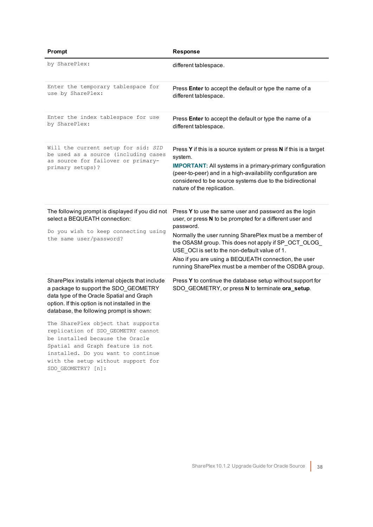| Prompt                                                                                                                                                                                                                                                                                                                                                                                                                                                                                    | <b>Response</b>                                                                                                                                                                                                                                                                                                                                                                                                        |
|-------------------------------------------------------------------------------------------------------------------------------------------------------------------------------------------------------------------------------------------------------------------------------------------------------------------------------------------------------------------------------------------------------------------------------------------------------------------------------------------|------------------------------------------------------------------------------------------------------------------------------------------------------------------------------------------------------------------------------------------------------------------------------------------------------------------------------------------------------------------------------------------------------------------------|
| by SharePlex:                                                                                                                                                                                                                                                                                                                                                                                                                                                                             | different tablespace.                                                                                                                                                                                                                                                                                                                                                                                                  |
| Enter the temporary tablespace for<br>use by SharePlex:                                                                                                                                                                                                                                                                                                                                                                                                                                   | Press <b>Enter</b> to accept the default or type the name of a<br>different tablespace.                                                                                                                                                                                                                                                                                                                                |
| Enter the index tablespace for use<br>by SharePlex:                                                                                                                                                                                                                                                                                                                                                                                                                                       | Press Enter to accept the default or type the name of a<br>different tablespace.                                                                                                                                                                                                                                                                                                                                       |
| Will the current setup for sid: SID<br>be used as a source (including cases<br>as source for failover or primary-<br>primary setups)?                                                                                                                                                                                                                                                                                                                                                     | Press Y if this is a source system or press N if this is a target<br>system.<br><b>IMPORTANT:</b> All systems in a primary-primary configuration<br>(peer-to-peer) and in a high-availability configuration are<br>considered to be source systems due to the bidirectional<br>nature of the replication.                                                                                                              |
| The following prompt is displayed if you did not<br>select a BEQUEATH connection:<br>Do you wish to keep connecting using<br>the same user/password?                                                                                                                                                                                                                                                                                                                                      | Press Y to use the same user and password as the login<br>user, or press N to be prompted for a different user and<br>password.<br>Normally the user running SharePlex must be a member of<br>the OSASM group. This does not apply if SP_OCT_OLOG_<br>USE OCI is set to the non-default value of 1.<br>Also if you are using a BEQUEATH connection, the user<br>running SharePlex must be a member of the OSDBA group. |
| SharePlex installs internal objects that include<br>a package to support the SDO_GEOMETRY<br>data type of the Oracle Spatial and Graph<br>option. If this option is not installed in the<br>database, the following prompt is shown:<br>The SharePlex object that supports<br>replication of SDO GEOMETRY cannot<br>be installed because the Oracle<br>Spatial and Graph feature is not<br>installed. Do you want to continue<br>with the setup without support for<br>SDO GEOMETRY? [n]: | Press Y to continue the database setup without support for<br>SDO_GEOMETRY, or press N to terminate ora_setup.                                                                                                                                                                                                                                                                                                         |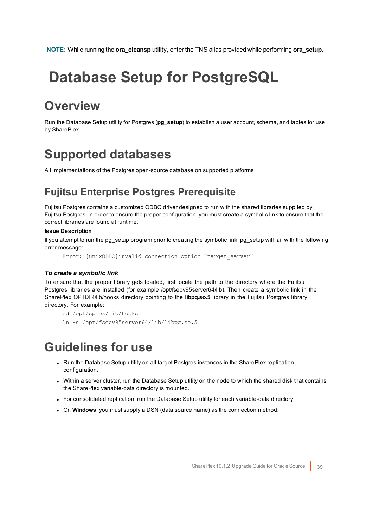<span id="page-38-0"></span>**NOTE:** While running the **ora\_cleansp** utility, enter the TNS alias provided while performing **ora\_setup**.

## **Database Setup for PostgreSQL**

## <span id="page-38-1"></span>**Overview**

Run the Database Setup utility for Postgres (**pg\_setup**) to establish a user account, schema, and tables for use by SharePlex.

## <span id="page-38-2"></span>**Supported databases**

<span id="page-38-3"></span>All implementations of the Postgres open-source database on supported platforms

### **Fujitsu Enterprise Postgres Prerequisite**

Fujitsu Postgres contains a customized ODBC driver designed to run with the shared libraries supplied by Fujitsu Postgres. In order to ensure the proper configuration, you must create a symbolic link to ensure that the correct libraries are found at runtime.

### **Issue Description**

If you attempt to run the pg\_setup program prior to creating the symbolic link, pg\_setup will fail with the following error message:

Error: [unixODBC]invalid connection option "target\_server"

### *To create a symbolic link*

To ensure that the proper library gets loaded, first locate the path to the directory where the Fujitsu Postgres libraries are installed (for example /opt/fsepv95server64/lib). Then create a symbolic link in the SharePlex OPTDIR/lib/hooks directory pointing to the **libpq.so.5** library in the Fujitsu Postgres library directory. For example:

```
cd /opt/splex/lib/hooks
ln –s /opt/fsepv95server64/lib/libpq.so.5
```
### <span id="page-38-4"></span>**Guidelines for use**

- Run the Database Setup utility on all target Postgres instances in the SharePlex replication configuration.
- Within a server cluster, run the Database Setup utility on the node to which the shared disk that contains the SharePlex variable-data directory is mounted.
- For consolidated replication, run the Database Setup utility for each variable-data directory.
- **.** On Windows, you must supply a DSN (data source name) as the connection method.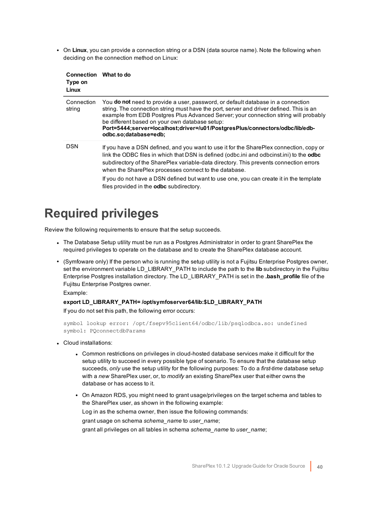• On Linux, you can provide a connection string or a DSN (data source name). Note the following when deciding on the connection method on Linux:

| <b>Connection</b><br>Type on<br>Linux | What to do                                                                                                                                                                                                                                                                                                                                                                                                                                                                                  |
|---------------------------------------|---------------------------------------------------------------------------------------------------------------------------------------------------------------------------------------------------------------------------------------------------------------------------------------------------------------------------------------------------------------------------------------------------------------------------------------------------------------------------------------------|
| Connection<br>string                  | You <b>do not</b> need to provide a user, password, or default database in a connection<br>string. The connection string must have the port, server and driver defined. This is an<br>example from EDB Postgres Plus Advanced Server; your connection string will probably<br>be different based on your own database setup:<br>Port=5444;server=localhost;driver=/u01/PostgresPlus/connectors/odbc/lib/edb-<br>odbc.so;database=edb;                                                       |
| <b>DSN</b>                            | If you have a DSN defined, and you want to use it for the SharePlex connection, copy or<br>link the ODBC files in which that DSN is defined (odbc.ini and odbcinst.ini) to the <b>odbc</b><br>subdirectory of the SharePlex variable-data directory. This prevents connection errors<br>when the SharePlex processes connect to the database.<br>If you do not have a DSN defined but want to use one, you can create it in the template<br>files provided in the <b>odbc</b> subdirectory. |

## <span id="page-39-0"></span>**Required privileges**

Review the following requirements to ensure that the setup succeeds.

- The Database Setup utility must be run as a Postgres Administrator in order to grant SharePlex the required privileges to operate on the database and to create the SharePlex database account.
- <sup>l</sup> (Symfoware only) If the person who is running the setup utility is not a Fujitsu Enterprise Postgres owner, set the environment variable LD\_LIBRARY\_PATH to include the path to the **lib** subdirectory in the Fujitsu Enterprise Postgres installation directory. The LD\_LIBRARY\_PATH is set in the **.bash\_profile** file of the Fujitsu Enterprise Postgres owner.

Example:

### **export LD\_LIBRARY\_PATH= /opt/symfoserver64/lib:\$LD\_LIBRARY\_PATH**

If you do not set this path, the following error occurs:

```
symbol lookup error: /opt/fsepv95client64/odbc/lib/psqlodbca.so: undefined
symbol: PQconnectdbParams
```
- Cloud installations:
	- Common restrictions on privileges in cloud-hosted database services make it difficult for the setup utility to succeed in every possible type of scenario. To ensure that the database setup succeeds, *only* use the setup utility for the following purposes: To do a *first-time* database setup with a *new* SharePlex user, or, to *modify* an existing SharePlex user that either owns the database or has access to it.
	- On Amazon RDS, you might need to grant usage/privileges on the target schema and tables to the SharePlex user, as shown in the following example: Log in as the schema owner, then issue the following commands: grant usage on schema *schema\_name* to *user\_name*; grant all privileges on all tables in schema *schema\_name* to *user\_name*;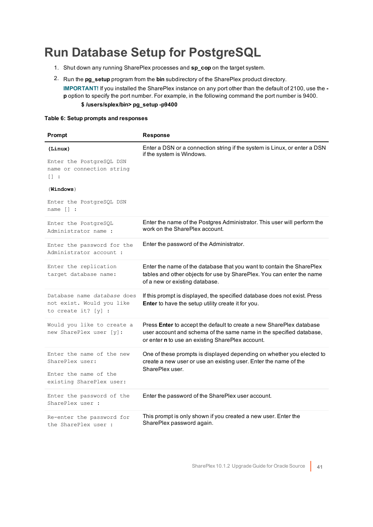## <span id="page-40-0"></span>**Run Database Setup for PostgreSQL**

- 1. Shut down any running SharePlex processes and **sp\_cop** on the target system.
- 2. Run the **pg\_setup** program from the **bin** subdirectory of the SharePlex product directory. **IMPORTANT!** If you installed the SharePlex instance on any port other than the default of 2100, use the  **p** option to specify the port number. For example, in the following command the port number is 9400. **\$ /users/splex/bin> pg\_setup -p9400**

### **Table 6: Setup prompts and responses**

| Prompt                                                                                                                                          | <b>Response</b>                                                                                                                                                                                 |
|-------------------------------------------------------------------------------------------------------------------------------------------------|-------------------------------------------------------------------------------------------------------------------------------------------------------------------------------------------------|
| (Linux)<br>Enter the PostgreSQL DSN<br>name or connection string<br>$\Box$ :<br>$(\texttt{Windows})$<br>Enter the PostgreSQL DSN<br>$name []$ : | Enter a DSN or a connection string if the system is Linux, or enter a DSN<br>if the system is Windows.                                                                                          |
| Enter the PostgreSQL<br>Administrator name :                                                                                                    | Enter the name of the Postgres Administrator. This user will perform the<br>work on the SharePlex account.                                                                                      |
| Enter the password for the<br>Administrator account :                                                                                           | Enter the password of the Administrator.                                                                                                                                                        |
| Enter the replication<br>target database name:                                                                                                  | Enter the name of the database that you want to contain the SharePlex<br>tables and other objects for use by SharePlex. You can enter the name<br>of a new or existing database.                |
| Database name database does<br>not exist. Would you like<br>to create it? $[y]$ :                                                               | If this prompt is displayed, the specified database does not exist. Press<br>Enter to have the setup utility create it for you.                                                                 |
| Would you like to create a<br>new SharePlex user [y]:                                                                                           | Press Enter to accept the default to create a new SharePlex database<br>user account and schema of the same name in the specified database,<br>or enter n to use an existing SharePlex account. |
| Enter the name of the new<br>SharePlex user:<br>Enter the name of the<br>existing SharePlex user:                                               | One of these prompts is displayed depending on whether you elected to<br>create a new user or use an existing user. Enter the name of the<br>SharePlex user.                                    |
| Enter the password of the<br>SharePlex user :                                                                                                   | Enter the password of the SharePlex user account.                                                                                                                                               |
| Re-enter the password for<br>the SharePlex user :                                                                                               | This prompt is only shown if you created a new user. Enter the<br>SharePlex password again.                                                                                                     |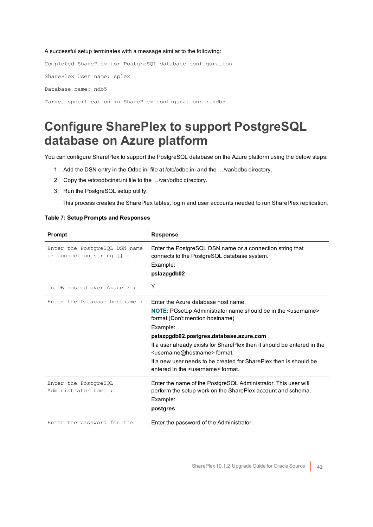#### A successful setup terminates with a message similar to the following:

Completed SharePlex for PostgreSQL database configuration SharePlex User name: splex Database name: ndb5 Target specification in SharePlex configuration: r.ndb5

### <span id="page-41-0"></span>**Configure SharePlex to support PostgreSQL database on Azure platform**

You can configure SharePlex to support the PostgreSQL database on the Azure platform using the below steps:

- 1. Add the DSN entry in the Odbc.ini file at /etc/odbc.ini and the …/var/odbc directory.
- 2. Copy the /etc/odbcinst.ini file to the …/var/odbc directory.
- 3. Run the PostgreSQL setup utility.

This process creates the SharePlex tables, login and user accounts needed to run SharePlex replication.

#### **Table 7: Setup Prompts and Responses**

| Prompt                                                     | <b>Response</b>                                                                                                                                                                                                                                                                                                                                                                                                                                           |
|------------------------------------------------------------|-----------------------------------------------------------------------------------------------------------------------------------------------------------------------------------------------------------------------------------------------------------------------------------------------------------------------------------------------------------------------------------------------------------------------------------------------------------|
| Enter the PostgreSQL DSN name<br>or connection string [] : | Enter the PostgreSQL DSN name or a connection string that<br>connects to the PostgreSQL database system.<br>Example:<br>pslazpgdb02                                                                                                                                                                                                                                                                                                                       |
| Is DB hosted over Azure ? :                                | Υ                                                                                                                                                                                                                                                                                                                                                                                                                                                         |
| Enter the Database hostname:                               | Fnter the Azure database host name.<br>NOTE: PGsetup Administrator name should be in the <username><br/>format (Don't mention hostname)<br/>Example:<br/>pslazpgdb02.postgres.database.azure.com<br/>If a user already exists for SharePlex then it should be entered in the<br/><username@hostname> format.<br/>If a new user needs to be created for SharePlex then is should be<br/>entered in the susername&gt; format</username@hostname></username> |
| Enter the PostgreSQL<br>Administrator name:                | Enter the name of the PostgreSQL Administrator. This user will<br>perform the setup work on the SharePlex account and schema.<br>Example:<br>postgres                                                                                                                                                                                                                                                                                                     |
| Enter the password for the                                 | Enter the password of the Administrator.                                                                                                                                                                                                                                                                                                                                                                                                                  |
|                                                            |                                                                                                                                                                                                                                                                                                                                                                                                                                                           |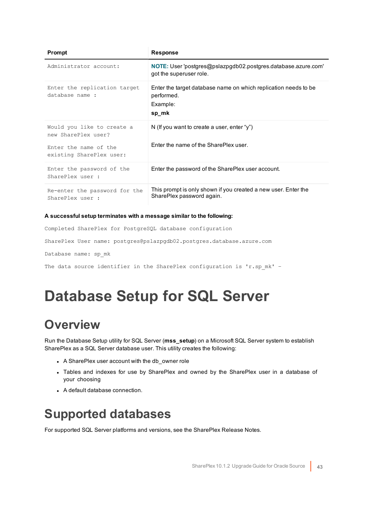| Prompt                                            | <b>Response</b>                                                                                    |
|---------------------------------------------------|----------------------------------------------------------------------------------------------------|
| Administrator account:                            | <b>NOTE:</b> User 'postgres@pslazpgdb02.postgres.database.azure.com'<br>got the superuser role.    |
| Enter the replication target<br>database name :   | Enter the target database name on which replication needs to be<br>performed.<br>Example:<br>sp_mk |
| Would you like to create a<br>new SharePlex user? | N (If you want to create a user, enter "y")                                                        |
| Enter the name of the<br>existing SharePlex user: | Enter the name of the SharePlex user.                                                              |
| Enter the password of the<br>SharePlex user :     | Enter the password of the SharePlex user account.                                                  |
| Re-enter the password for the<br>SharePlex user : | This prompt is only shown if you created a new user. Enter the<br>SharePlex password again.        |

### **A successful setup terminates with a message similar to the following:**

Completed SharePlex for PostgreSQL database configuration

SharePlex User name: postgres@pslazpgdb02.postgres.database.azure.com

Database name: sp\_mk

<span id="page-42-0"></span>The data source identifier in the SharePlex configuration is 'r.sp mk' -

## **Database Setup for SQL Server**

## <span id="page-42-1"></span>**Overview**

Run the Database Setup utility for SQL Server (**mss\_setup**) on a Microsoft SQL Server system to establish SharePlex as a SQL Server database user. This utility creates the following:

- A SharePlex user account with the db\_owner role
- Tables and indexes for use by SharePlex and owned by the SharePlex user in a database of your choosing
- A default database connection.

## <span id="page-42-2"></span>**Supported databases**

For supported SQL Server platforms and versions, see the SharePlex Release Notes.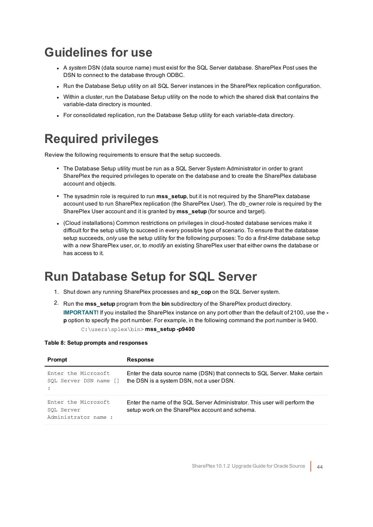## <span id="page-43-0"></span>**Guidelines for use**

- <sup>l</sup> A *system* DSN (data source name) must exist for the SQL Server database. SharePlex Post uses the DSN to connect to the database through ODBC.
- Run the Database Setup utility on all SQL Server instances in the SharePlex replication configuration.
- Within a cluster, run the Database Setup utility on the node to which the shared disk that contains the variable-data directory is mounted.
- For consolidated replication, run the Database Setup utility for each variable-data directory.

## <span id="page-43-1"></span>**Required privileges**

Review the following requirements to ensure that the setup succeeds.

- The Database Setup utility must be run as a SQL Server System Administrator in order to grant SharePlex the required privileges to operate on the database and to create the SharePlex database account and objects.
- The sysadmin role is required to run **mss setup**, but it is not required by the SharePlex database account used to run SharePlex replication (the SharePlex User). The db owner role is required by the SharePlex User account and it is granted by **mss\_setup** (for source and target).
- <sup>l</sup> (Cloud installations) Common restrictions on privileges in cloud-hosted database services make it difficult for the setup utility to succeed in every possible type of scenario. To ensure that the database setup succeeds, *only* use the setup utility for the following purposes: To do a *first-time* database setup with a *new* SharePlex user, or, to *modify* an existing SharePlex user that either owns the database or has access to it.

## <span id="page-43-2"></span>**Run Database Setup for SQL Server**

- 1. Shut down any running SharePlex processes and **sp\_cop** on the SQL Server system.
- 2. Run the **mss\_setup** program from the **bin** subdirectory of the SharePlex product directory. **IMPORTANT!** If you installed the SharePlex instance on any port other than the default of 2100, use the  **p** option to specify the port number. For example, in the following command the port number is 9400. C:\users\splex\bin> **mss\_setup -p9400**

### **Table 8: Setup prompts and responses**

| Prompt                                                    | Response                                                                                                                      |
|-----------------------------------------------------------|-------------------------------------------------------------------------------------------------------------------------------|
| Enter the Microsoft<br>SOL Server DSN name []             | Enter the data source name (DSN) that connects to SQL Server. Make certain<br>the DSN is a system DSN, not a user DSN.        |
| Enter the Microsoft<br>SOL Server<br>Administrator name : | Enter the name of the SQL Server Administrator. This user will perform the<br>setup work on the SharePlex account and schema. |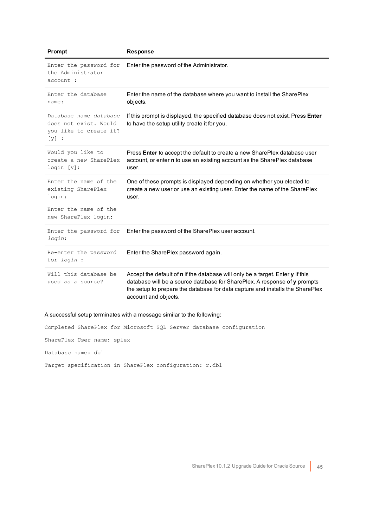| Prompt                                                                               | <b>Response</b>                                                                                                                                                                                                                                                      |
|--------------------------------------------------------------------------------------|----------------------------------------------------------------------------------------------------------------------------------------------------------------------------------------------------------------------------------------------------------------------|
| Enter the password for<br>the Administrator<br>account :                             | Enter the password of the Administrator.                                                                                                                                                                                                                             |
| Enter the database<br>name:                                                          | Enter the name of the database where you want to install the SharePlex<br>objects.                                                                                                                                                                                   |
| Database name database<br>does not exist. Would<br>you like to create it?<br>$[y]$ : | If this prompt is displayed, the specified database does not exist. Press Enter<br>to have the setup utility create it for you.                                                                                                                                      |
| Would you like to<br>create a new SharePlex<br>login [y]:                            | Press Enter to accept the default to create a new SharePlex database user<br>account, or enter n to use an existing account as the SharePlex database<br>user.                                                                                                       |
| Enter the name of the<br>existing SharePlex<br>login:                                | One of these prompts is displayed depending on whether you elected to<br>create a new user or use an existing user. Enter the name of the SharePlex<br>user.                                                                                                         |
| Enter the name of the<br>new SharePlex login:                                        |                                                                                                                                                                                                                                                                      |
| Enter the password for<br>login:                                                     | Enter the password of the SharePlex user account.                                                                                                                                                                                                                    |
| Re-enter the password<br>for <i>login</i> :                                          | Enter the SharePlex password again.                                                                                                                                                                                                                                  |
| Will this database be<br>used as a source?                                           | Accept the default of n if the database will only be a target. Enter y if this<br>database will be a source database for SharePlex. A response of y prompts<br>the setup to prepare the database for data capture and installs the SharePlex<br>account and objects. |

### A successful setup terminates with a message similar to the following:

Completed SharePlex for Microsoft SQL Server database configuration

SharePlex User name: splex

Database name: db1

Target specification in SharePlex configuration: r.db1